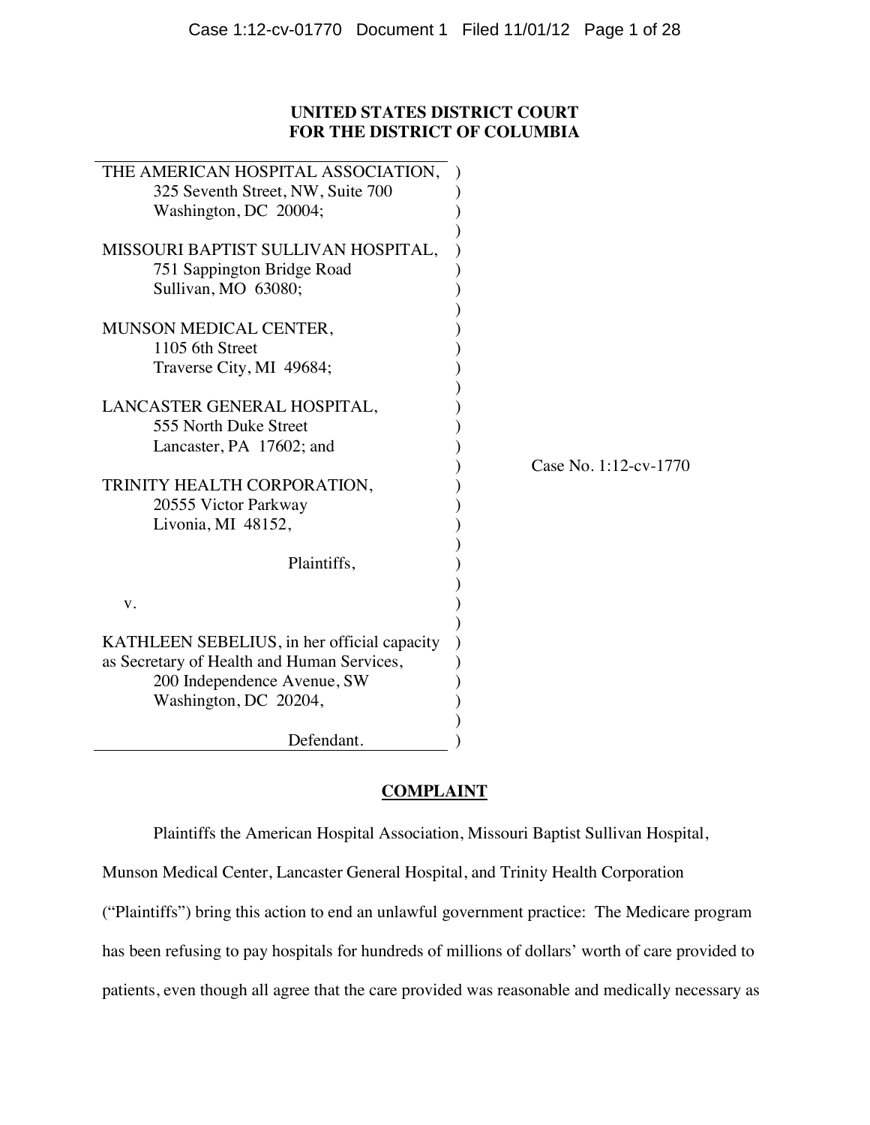# **UNITED STATES DISTRICT COURT FOR THE DISTRICT OF COLUMBIA**

| THE AMERICAN HOSPITAL ASSOCIATION,<br>325 Seventh Street, NW, Suite 700<br>Washington, DC 20004;<br>MISSOURI BAPTIST SULLIVAN HOSPITAL,                         |                       |
|-----------------------------------------------------------------------------------------------------------------------------------------------------------------|-----------------------|
| 751 Sappington Bridge Road<br>Sullivan, MO 63080;                                                                                                               |                       |
| MUNSON MEDICAL CENTER,<br>1105 6th Street<br>Traverse City, MI 49684;                                                                                           |                       |
| LANCASTER GENERAL HOSPITAL,<br>555 North Duke Street<br>Lancaster, PA 17602; and                                                                                | Case No. 1:12-cv-1770 |
| TRINITY HEALTH CORPORATION,<br>20555 Victor Parkway<br>Livonia, MI 48152,                                                                                       |                       |
| Plaintiffs,<br>V.                                                                                                                                               |                       |
| KATHLEEN SEBELIUS, in her official capacity<br>as Secretary of Health and Human Services,<br>200 Independence Avenue, SW<br>Washington, DC 20204,<br>Defendant. |                       |

# **COMPLAINT**

Plaintiffs the American Hospital Association, Missouri Baptist Sullivan Hospital,

Munson Medical Center, Lancaster General Hospital, and Trinity Health Corporation

("Plaintiffs") bring this action to end an unlawful government practice: The Medicare program

has been refusing to pay hospitals for hundreds of millions of dollars' worth of care provided to

patients, even though all agree that the care provided was reasonable and medically necessary as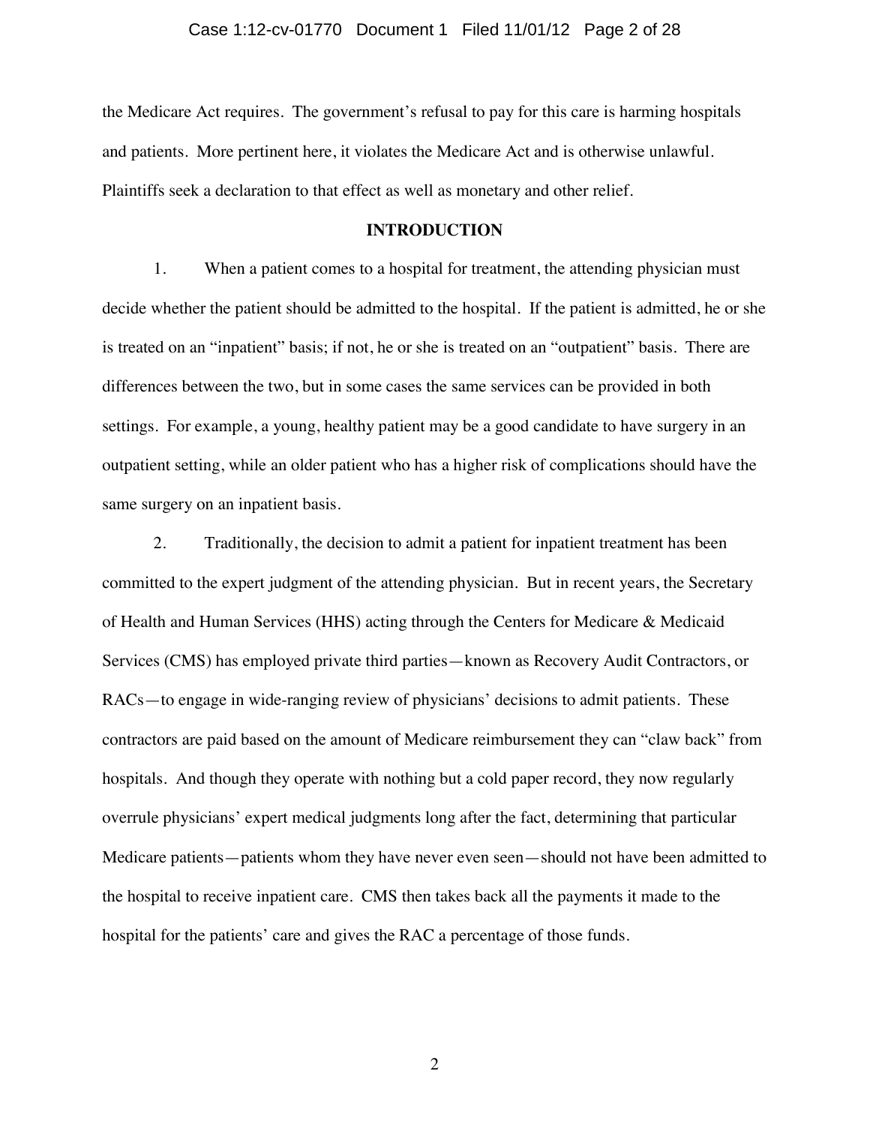the Medicare Act requires. The government's refusal to pay for this care is harming hospitals and patients. More pertinent here, it violates the Medicare Act and is otherwise unlawful. Plaintiffs seek a declaration to that effect as well as monetary and other relief.

### **INTRODUCTION**

1. When a patient comes to a hospital for treatment, the attending physician must decide whether the patient should be admitted to the hospital. If the patient is admitted, he or she is treated on an "inpatient" basis; if not, he or she is treated on an "outpatient" basis. There are differences between the two, but in some cases the same services can be provided in both settings. For example, a young, healthy patient may be a good candidate to have surgery in an outpatient setting, while an older patient who has a higher risk of complications should have the same surgery on an inpatient basis.

2. Traditionally, the decision to admit a patient for inpatient treatment has been committed to the expert judgment of the attending physician. But in recent years, the Secretary of Health and Human Services (HHS) acting through the Centers for Medicare & Medicaid Services (CMS) has employed private third parties—known as Recovery Audit Contractors, or RACs—to engage in wide-ranging review of physicians' decisions to admit patients. These contractors are paid based on the amount of Medicare reimbursement they can "claw back" from hospitals. And though they operate with nothing but a cold paper record, they now regularly overrule physicians' expert medical judgments long after the fact, determining that particular Medicare patients—patients whom they have never even seen—should not have been admitted to the hospital to receive inpatient care. CMS then takes back all the payments it made to the hospital for the patients' care and gives the RAC a percentage of those funds.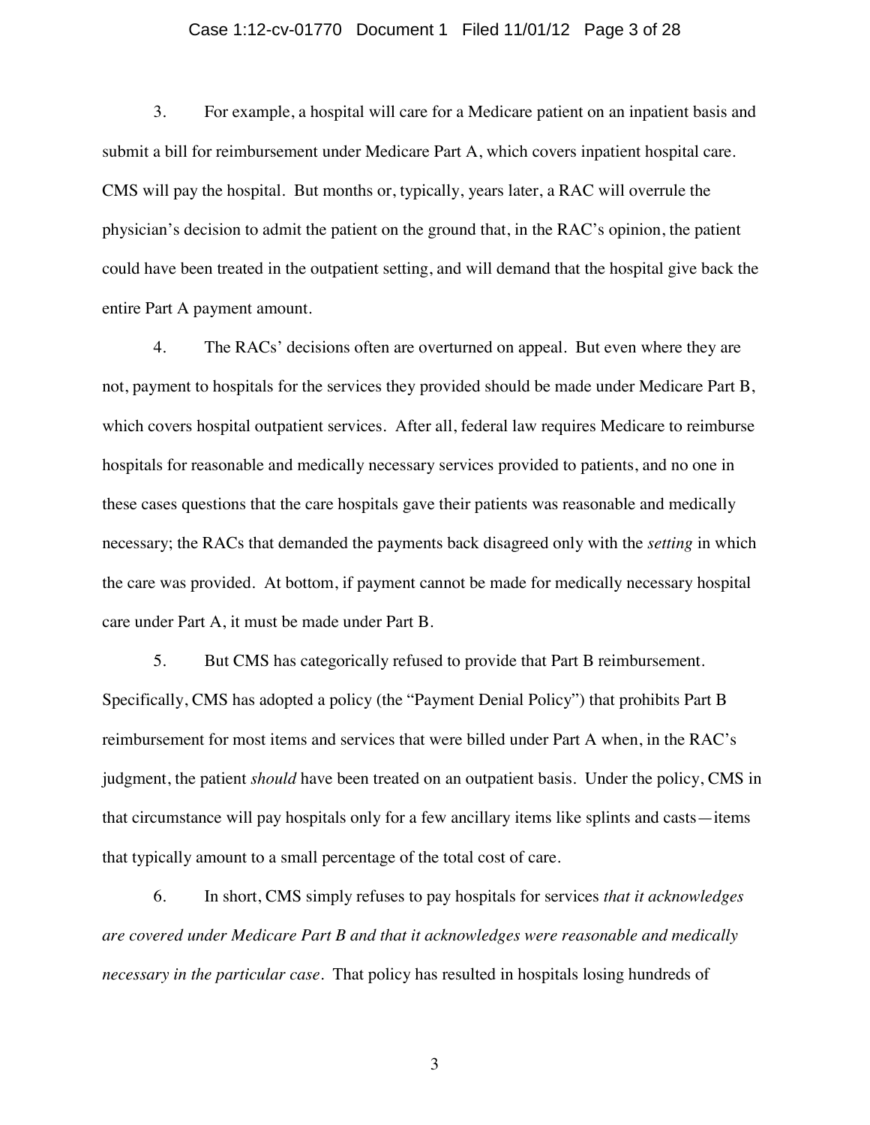### Case 1:12-cv-01770 Document 1 Filed 11/01/12 Page 3 of 28

3. For example, a hospital will care for a Medicare patient on an inpatient basis and submit a bill for reimbursement under Medicare Part A, which covers inpatient hospital care. CMS will pay the hospital. But months or, typically, years later, a RAC will overrule the physician's decision to admit the patient on the ground that, in the RAC's opinion, the patient could have been treated in the outpatient setting, and will demand that the hospital give back the entire Part A payment amount.

4. The RACs' decisions often are overturned on appeal. But even where they are not, payment to hospitals for the services they provided should be made under Medicare Part B, which covers hospital outpatient services. After all, federal law requires Medicare to reimburse hospitals for reasonable and medically necessary services provided to patients, and no one in these cases questions that the care hospitals gave their patients was reasonable and medically necessary; the RACs that demanded the payments back disagreed only with the *setting* in which the care was provided. At bottom, if payment cannot be made for medically necessary hospital care under Part A, it must be made under Part B.

5. But CMS has categorically refused to provide that Part B reimbursement. Specifically, CMS has adopted a policy (the "Payment Denial Policy") that prohibits Part B reimbursement for most items and services that were billed under Part A when, in the RAC's judgment, the patient *should* have been treated on an outpatient basis. Under the policy, CMS in that circumstance will pay hospitals only for a few ancillary items like splints and casts—items that typically amount to a small percentage of the total cost of care.

6. In short, CMS simply refuses to pay hospitals for services *that it acknowledges are covered under Medicare Part B and that it acknowledges were reasonable and medically necessary in the particular case*. That policy has resulted in hospitals losing hundreds of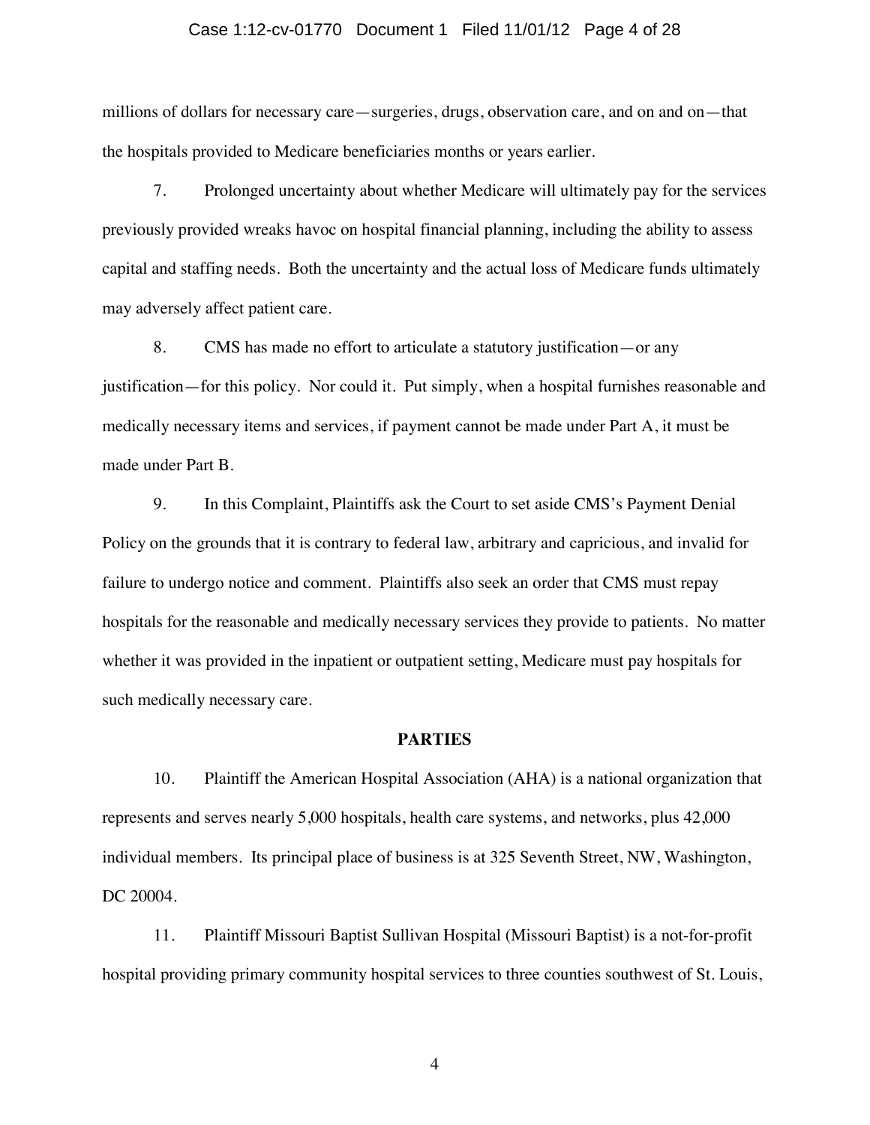### Case 1:12-cv-01770 Document 1 Filed 11/01/12 Page 4 of 28

millions of dollars for necessary care—surgeries, drugs, observation care, and on and on—that the hospitals provided to Medicare beneficiaries months or years earlier.

7. Prolonged uncertainty about whether Medicare will ultimately pay for the services previously provided wreaks havoc on hospital financial planning, including the ability to assess capital and staffing needs. Both the uncertainty and the actual loss of Medicare funds ultimately may adversely affect patient care.

8. CMS has made no effort to articulate a statutory justification—or any justification—for this policy. Nor could it. Put simply, when a hospital furnishes reasonable and medically necessary items and services, if payment cannot be made under Part A, it must be made under Part B.

9. In this Complaint, Plaintiffs ask the Court to set aside CMS's Payment Denial Policy on the grounds that it is contrary to federal law, arbitrary and capricious, and invalid for failure to undergo notice and comment. Plaintiffs also seek an order that CMS must repay hospitals for the reasonable and medically necessary services they provide to patients. No matter whether it was provided in the inpatient or outpatient setting, Medicare must pay hospitals for such medically necessary care.

#### **PARTIES**

10. Plaintiff the American Hospital Association (AHA) is a national organization that represents and serves nearly 5,000 hospitals, health care systems, and networks, plus 42,000 individual members. Its principal place of business is at 325 Seventh Street, NW, Washington, DC 20004.

11. Plaintiff Missouri Baptist Sullivan Hospital (Missouri Baptist) is a not-for-profit hospital providing primary community hospital services to three counties southwest of St. Louis,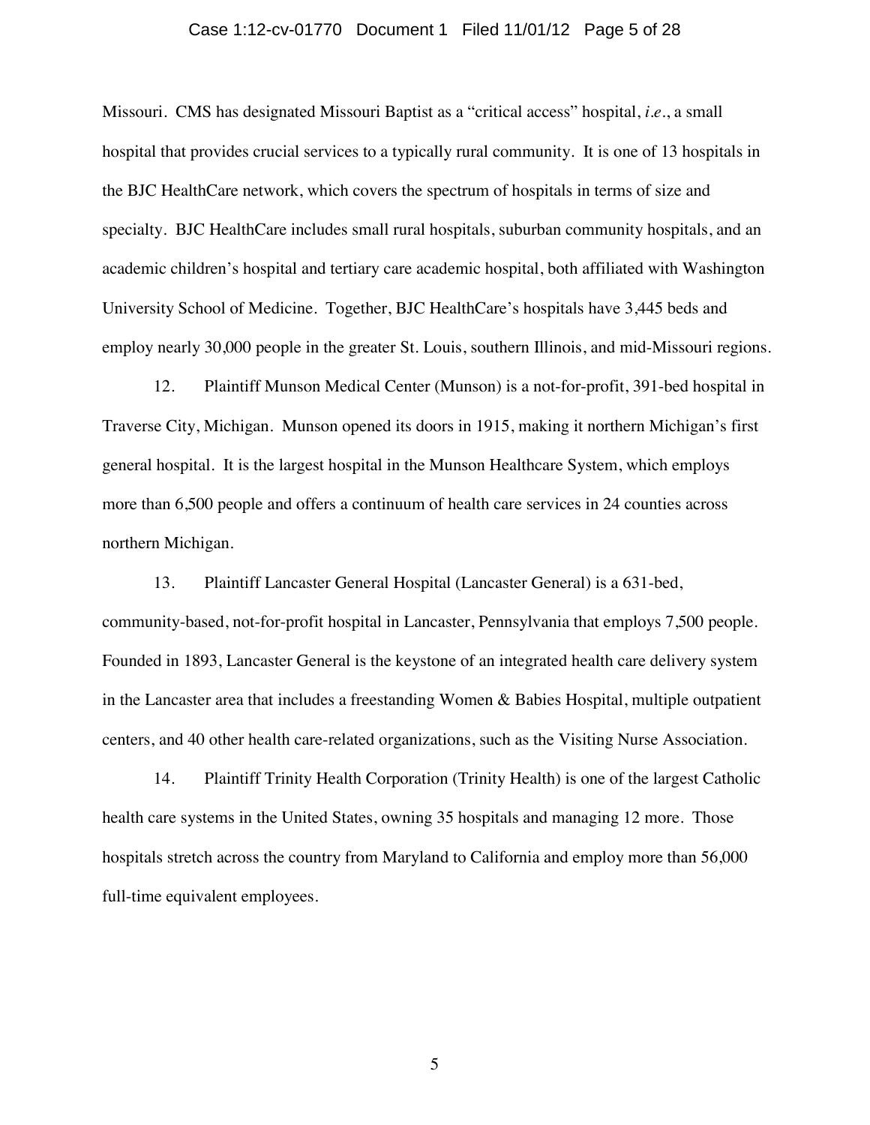### Case 1:12-cv-01770 Document 1 Filed 11/01/12 Page 5 of 28

Missouri. CMS has designated Missouri Baptist as a "critical access" hospital, *i.e.*, a small hospital that provides crucial services to a typically rural community. It is one of 13 hospitals in the BJC HealthCare network, which covers the spectrum of hospitals in terms of size and specialty. BJC HealthCare includes small rural hospitals, suburban community hospitals, and an academic children's hospital and tertiary care academic hospital, both affiliated with Washington University School of Medicine. Together, BJC HealthCare's hospitals have 3,445 beds and employ nearly 30,000 people in the greater St. Louis, southern Illinois, and mid-Missouri regions.

12. Plaintiff Munson Medical Center (Munson) is a not-for-profit, 391-bed hospital in Traverse City, Michigan. Munson opened its doors in 1915, making it northern Michigan's first general hospital. It is the largest hospital in the Munson Healthcare System, which employs more than 6,500 people and offers a continuum of health care services in 24 counties across northern Michigan.

13. Plaintiff Lancaster General Hospital (Lancaster General) is a 631-bed, community-based, not-for-profit hospital in Lancaster, Pennsylvania that employs 7,500 people. Founded in 1893, Lancaster General is the keystone of an integrated health care delivery system in the Lancaster area that includes a freestanding Women & Babies Hospital, multiple outpatient centers, and 40 other health care-related organizations, such as the Visiting Nurse Association.

14. Plaintiff Trinity Health Corporation (Trinity Health) is one of the largest Catholic health care systems in the United States, owning 35 hospitals and managing 12 more. Those hospitals stretch across the country from Maryland to California and employ more than 56,000 full-time equivalent employees.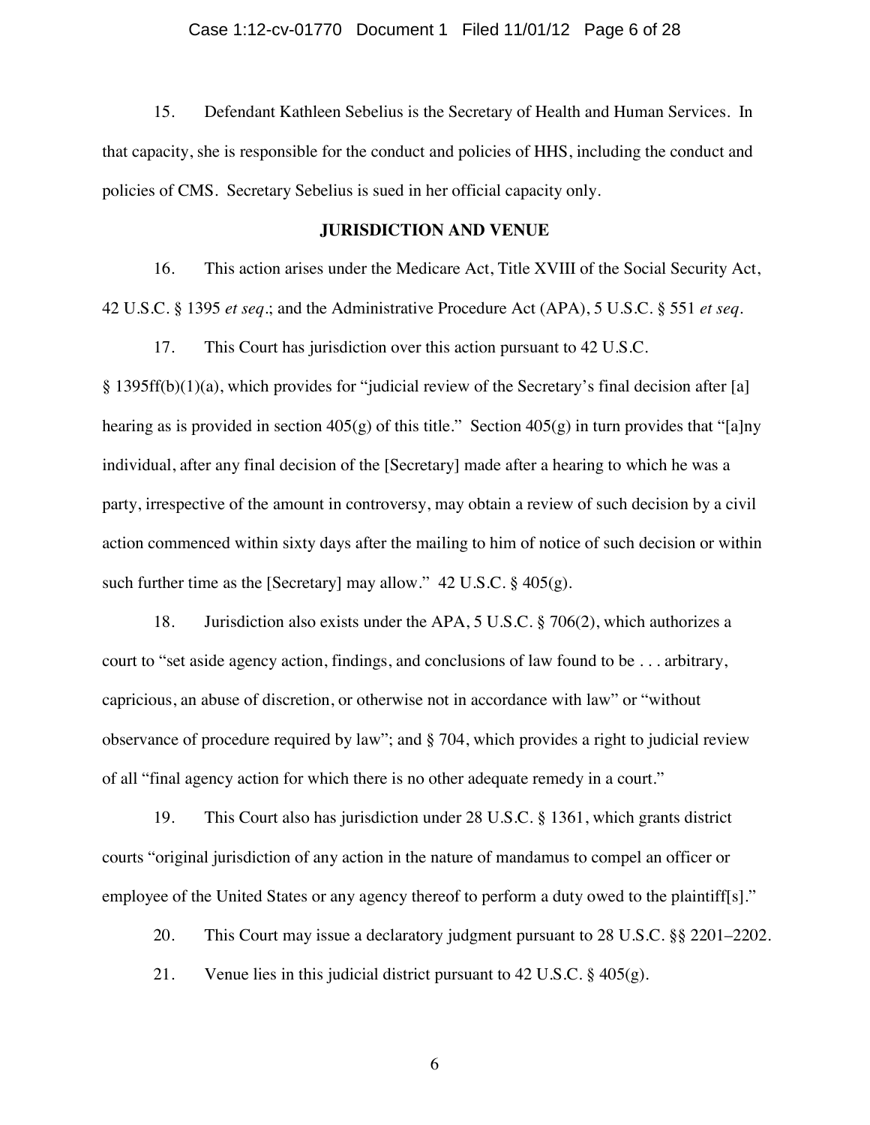15. Defendant Kathleen Sebelius is the Secretary of Health and Human Services. In that capacity, she is responsible for the conduct and policies of HHS, including the conduct and policies of CMS. Secretary Sebelius is sued in her official capacity only.

### **JURISDICTION AND VENUE**

16. This action arises under the Medicare Act, Title XVIII of the Social Security Act, 42 U.S.C. § 1395 *et seq*.; and the Administrative Procedure Act (APA), 5 U.S.C. § 551 *et seq*.

17. This Court has jurisdiction over this action pursuant to 42 U.S.C.

§ 1395ff(b)(1)(a), which provides for "judicial review of the Secretary's final decision after [a] hearing as is provided in section  $405(g)$  of this title." Section  $405(g)$  in turn provides that "[a]ny individual, after any final decision of the [Secretary] made after a hearing to which he was a party, irrespective of the amount in controversy, may obtain a review of such decision by a civil action commenced within sixty days after the mailing to him of notice of such decision or within such further time as the [Secretary] may allow."  $42 \text{ U.S.C.}$  §  $405(g)$ .

18. Jurisdiction also exists under the APA, 5 U.S.C. § 706(2), which authorizes a court to "set aside agency action, findings, and conclusions of law found to be . . . arbitrary, capricious, an abuse of discretion, or otherwise not in accordance with law" or "without observance of procedure required by law"; and § 704, which provides a right to judicial review of all "final agency action for which there is no other adequate remedy in a court."

19. This Court also has jurisdiction under 28 U.S.C. § 1361, which grants district courts "original jurisdiction of any action in the nature of mandamus to compel an officer or employee of the United States or any agency thereof to perform a duty owed to the plaintiff[s]."

20. This Court may issue a declaratory judgment pursuant to 28 U.S.C. §§ 2201–2202.

21. Venue lies in this judicial district pursuant to 42 U.S.C. § 405(g).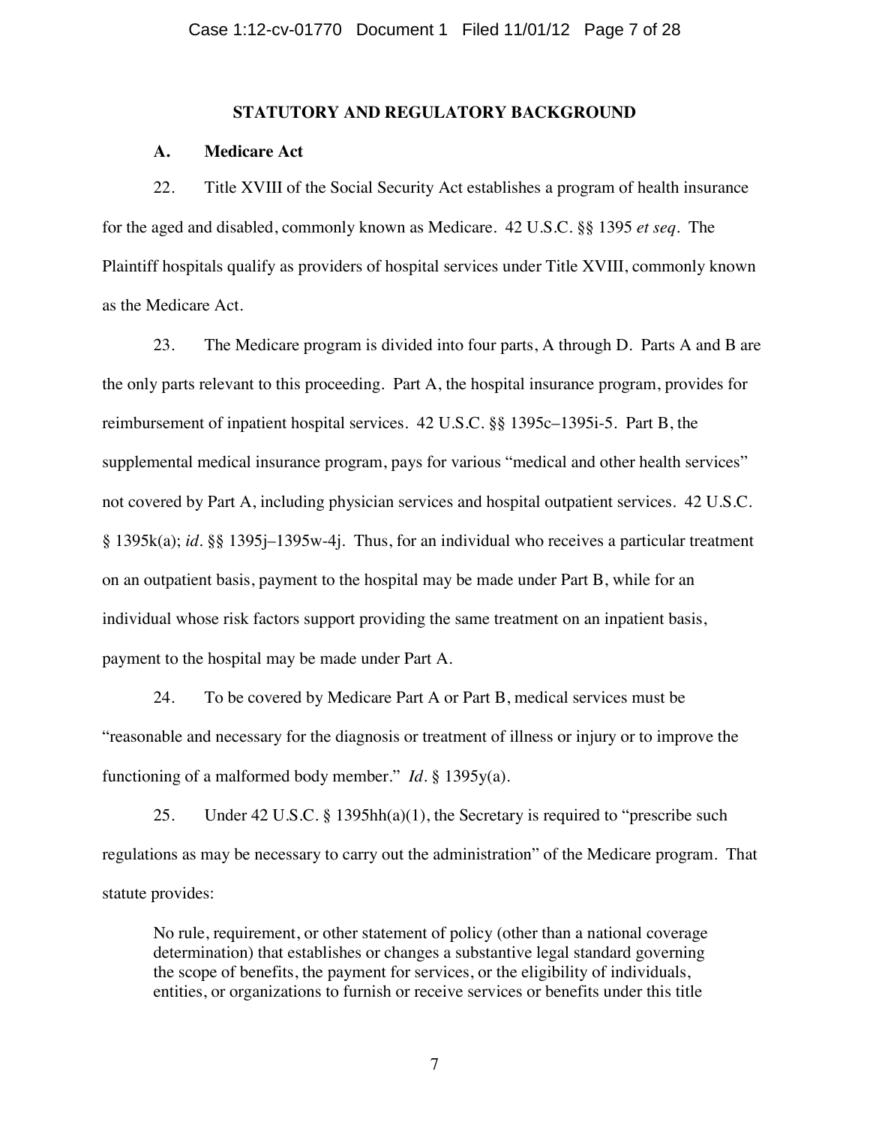### **STATUTORY AND REGULATORY BACKGROUND**

## **A. Medicare Act**

22. Title XVIII of the Social Security Act establishes a program of health insurance for the aged and disabled, commonly known as Medicare. 42 U.S.C. §§ 1395 *et seq*. The Plaintiff hospitals qualify as providers of hospital services under Title XVIII, commonly known as the Medicare Act.

23. The Medicare program is divided into four parts, A through D. Parts A and B are the only parts relevant to this proceeding. Part A, the hospital insurance program, provides for reimbursement of inpatient hospital services. 42 U.S.C. §§ 1395c–1395i-5. Part B, the supplemental medical insurance program, pays for various "medical and other health services" not covered by Part A, including physician services and hospital outpatient services. 42 U.S.C. § 1395k(a); *id.* §§ 1395j–1395w-4j. Thus, for an individual who receives a particular treatment on an outpatient basis, payment to the hospital may be made under Part B, while for an individual whose risk factors support providing the same treatment on an inpatient basis, payment to the hospital may be made under Part A.

24. To be covered by Medicare Part A or Part B, medical services must be "reasonable and necessary for the diagnosis or treatment of illness or injury or to improve the functioning of a malformed body member." *Id.* § 1395y(a).

25. Under 42 U.S.C. § 1395hh(a)(1), the Secretary is required to "prescribe such regulations as may be necessary to carry out the administration" of the Medicare program. That statute provides:

No rule, requirement, or other statement of policy (other than a national coverage determination) that establishes or changes a substantive legal standard governing the scope of benefits, the payment for services, or the eligibility of individuals, entities, or organizations to furnish or receive services or benefits under this title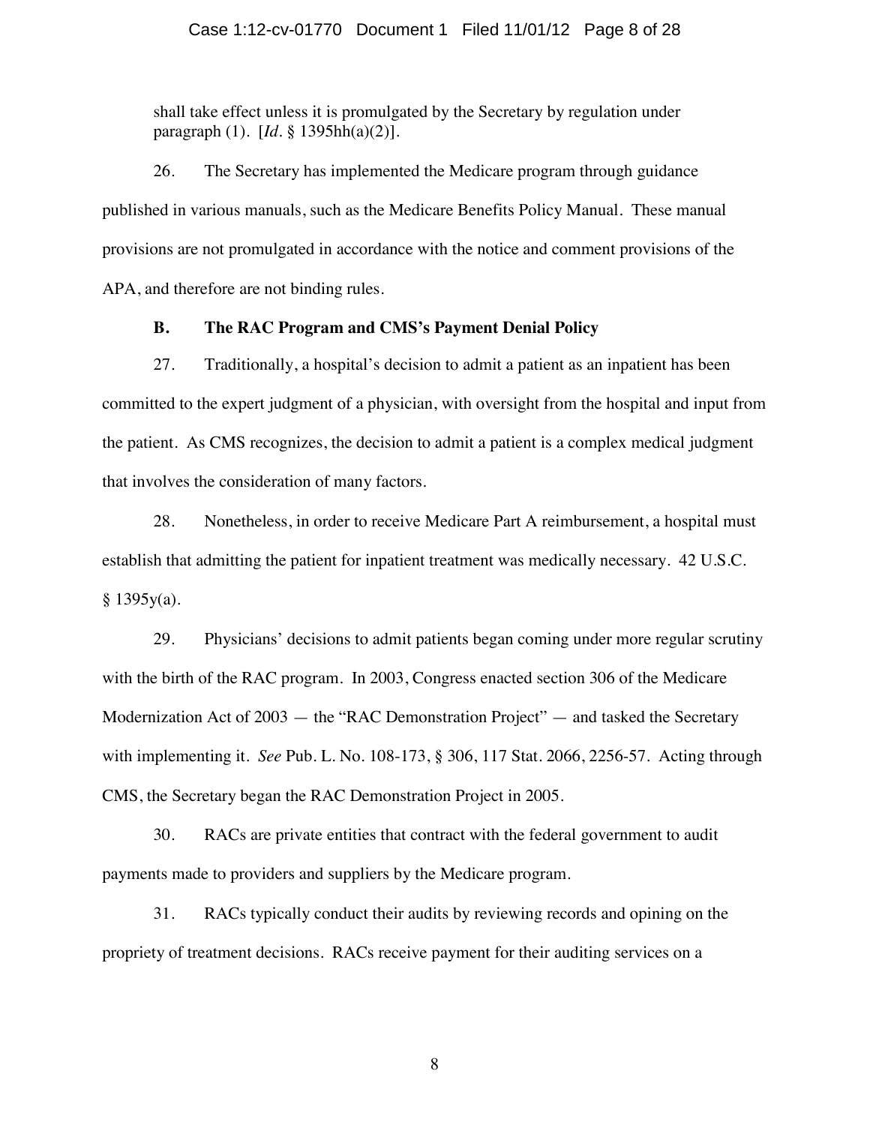shall take effect unless it is promulgated by the Secretary by regulation under paragraph (1). [*Id.* § 1395hh(a)(2)].

26. The Secretary has implemented the Medicare program through guidance published in various manuals, such as the Medicare Benefits Policy Manual. These manual provisions are not promulgated in accordance with the notice and comment provisions of the APA, and therefore are not binding rules.

## **B. The RAC Program and CMS's Payment Denial Policy**

27. Traditionally, a hospital's decision to admit a patient as an inpatient has been committed to the expert judgment of a physician, with oversight from the hospital and input from the patient. As CMS recognizes, the decision to admit a patient is a complex medical judgment that involves the consideration of many factors.

28. Nonetheless, in order to receive Medicare Part A reimbursement, a hospital must establish that admitting the patient for inpatient treatment was medically necessary. 42 U.S.C.  $§$  1395y(a).

29. Physicians' decisions to admit patients began coming under more regular scrutiny with the birth of the RAC program. In 2003, Congress enacted section 306 of the Medicare Modernization Act of 2003 — the "RAC Demonstration Project" — and tasked the Secretary with implementing it. *See* Pub. L. No. 108-173, § 306, 117 Stat. 2066, 2256-57. Acting through CMS, the Secretary began the RAC Demonstration Project in 2005.

30. RACs are private entities that contract with the federal government to audit payments made to providers and suppliers by the Medicare program.

31. RACs typically conduct their audits by reviewing records and opining on the propriety of treatment decisions. RACs receive payment for their auditing services on a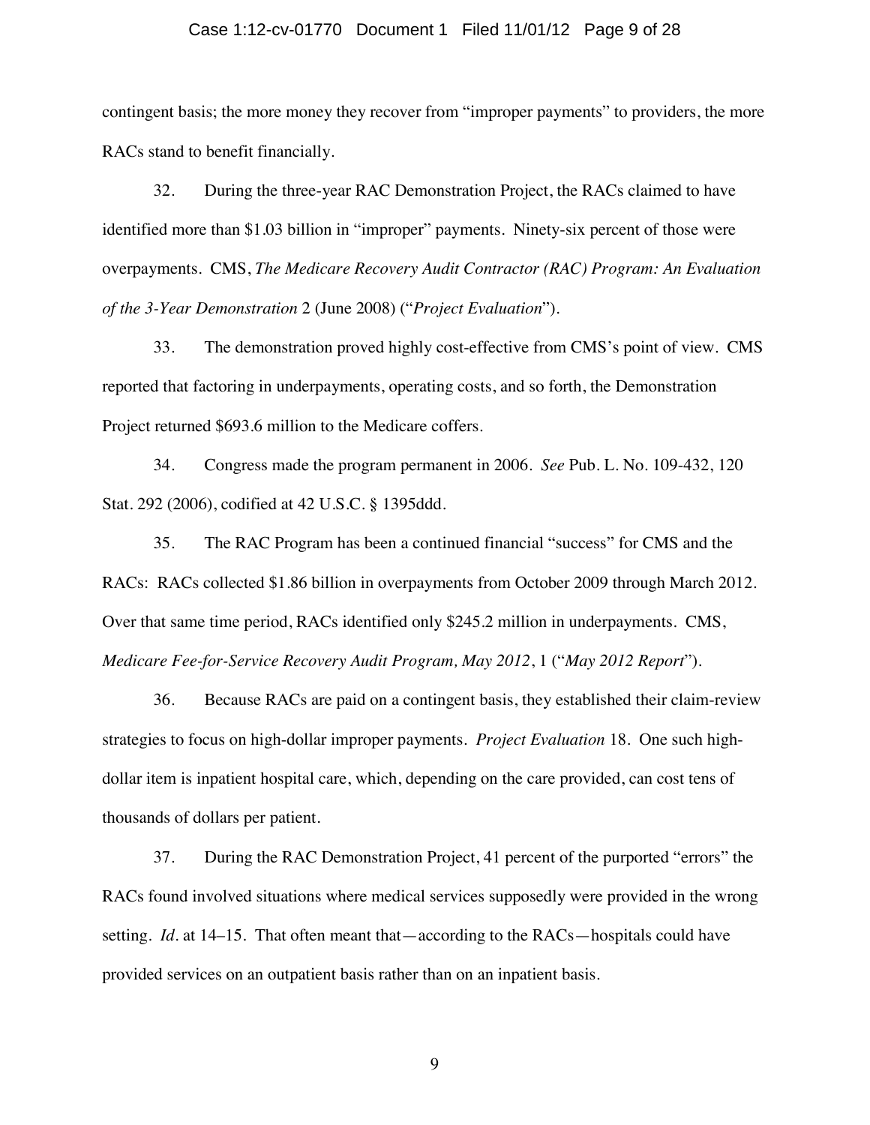#### Case 1:12-cv-01770 Document 1 Filed 11/01/12 Page 9 of 28

contingent basis; the more money they recover from "improper payments" to providers, the more RACs stand to benefit financially.

32. During the three-year RAC Demonstration Project, the RACs claimed to have identified more than \$1.03 billion in "improper" payments. Ninety-six percent of those were overpayments. CMS, *The Medicare Recovery Audit Contractor (RAC) Program: An Evaluation of the 3-Year Demonstration* 2 (June 2008) ("*Project Evaluation*").

33. The demonstration proved highly cost-effective from CMS's point of view. CMS reported that factoring in underpayments, operating costs, and so forth, the Demonstration Project returned \$693.6 million to the Medicare coffers.

34. Congress made the program permanent in 2006. *See* Pub. L. No. 109-432, 120 Stat. 292 (2006), codified at 42 U.S.C. § 1395ddd.

35. The RAC Program has been a continued financial "success" for CMS and the RACs: RACs collected \$1.86 billion in overpayments from October 2009 through March 2012. Over that same time period, RACs identified only \$245.2 million in underpayments. CMS, *Medicare Fee-for-Service Recovery Audit Program, May 2012*, 1 ("*May 2012 Report*").

36. Because RACs are paid on a contingent basis, they established their claim-review strategies to focus on high-dollar improper payments. *Project Evaluation* 18. One such highdollar item is inpatient hospital care, which, depending on the care provided, can cost tens of thousands of dollars per patient.

37. During the RAC Demonstration Project, 41 percent of the purported "errors" the RACs found involved situations where medical services supposedly were provided in the wrong setting. *Id.* at 14–15. That often meant that—according to the RACs—hospitals could have provided services on an outpatient basis rather than on an inpatient basis.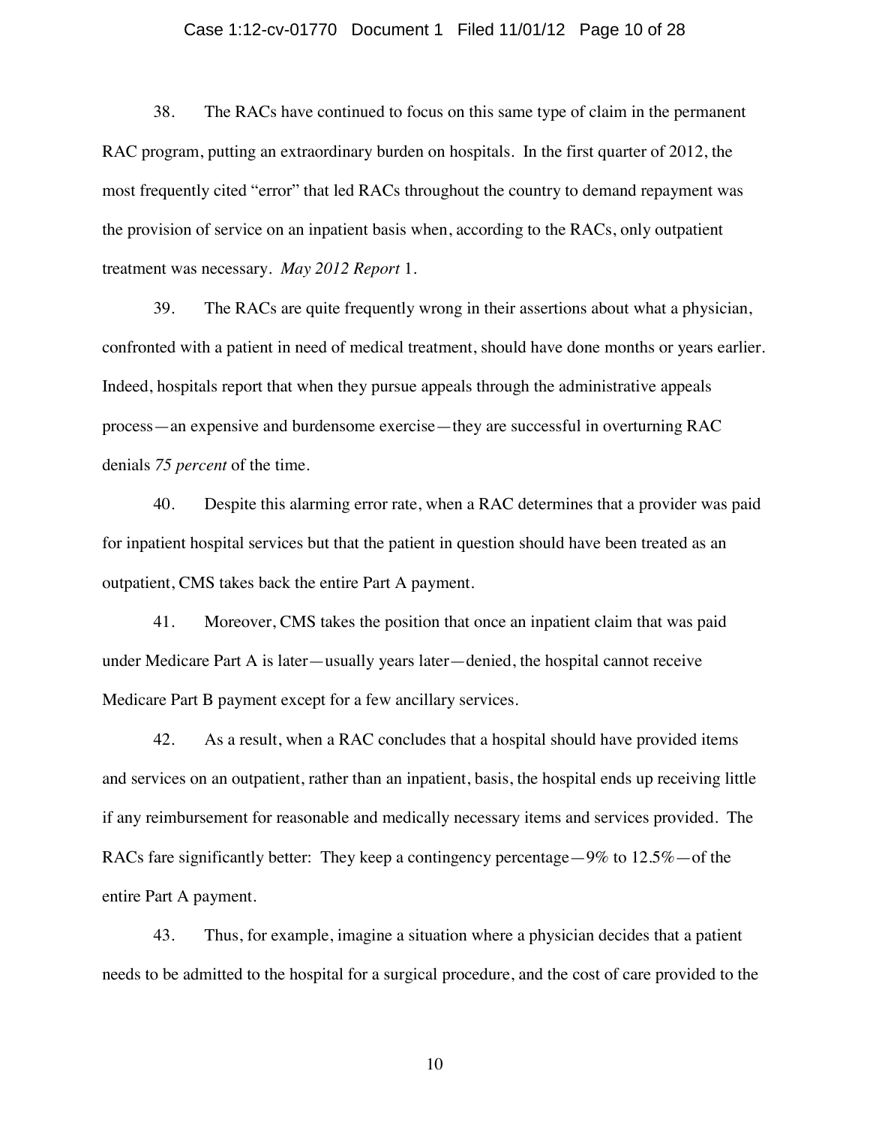### Case 1:12-cv-01770 Document 1 Filed 11/01/12 Page 10 of 28

38. The RACs have continued to focus on this same type of claim in the permanent RAC program, putting an extraordinary burden on hospitals. In the first quarter of 2012, the most frequently cited "error" that led RACs throughout the country to demand repayment was the provision of service on an inpatient basis when, according to the RACs, only outpatient treatment was necessary. *May 2012 Report* 1.

39. The RACs are quite frequently wrong in their assertions about what a physician, confronted with a patient in need of medical treatment, should have done months or years earlier. Indeed, hospitals report that when they pursue appeals through the administrative appeals process—an expensive and burdensome exercise—they are successful in overturning RAC denials *75 percent* of the time.

40. Despite this alarming error rate, when a RAC determines that a provider was paid for inpatient hospital services but that the patient in question should have been treated as an outpatient, CMS takes back the entire Part A payment.

41. Moreover, CMS takes the position that once an inpatient claim that was paid under Medicare Part A is later—usually years later—denied, the hospital cannot receive Medicare Part B payment except for a few ancillary services.

42. As a result, when a RAC concludes that a hospital should have provided items and services on an outpatient, rather than an inpatient, basis, the hospital ends up receiving little if any reimbursement for reasonable and medically necessary items and services provided. The RACs fare significantly better: They keep a contingency percentage—9% to 12.5%—of the entire Part A payment.

43. Thus, for example, imagine a situation where a physician decides that a patient needs to be admitted to the hospital for a surgical procedure, and the cost of care provided to the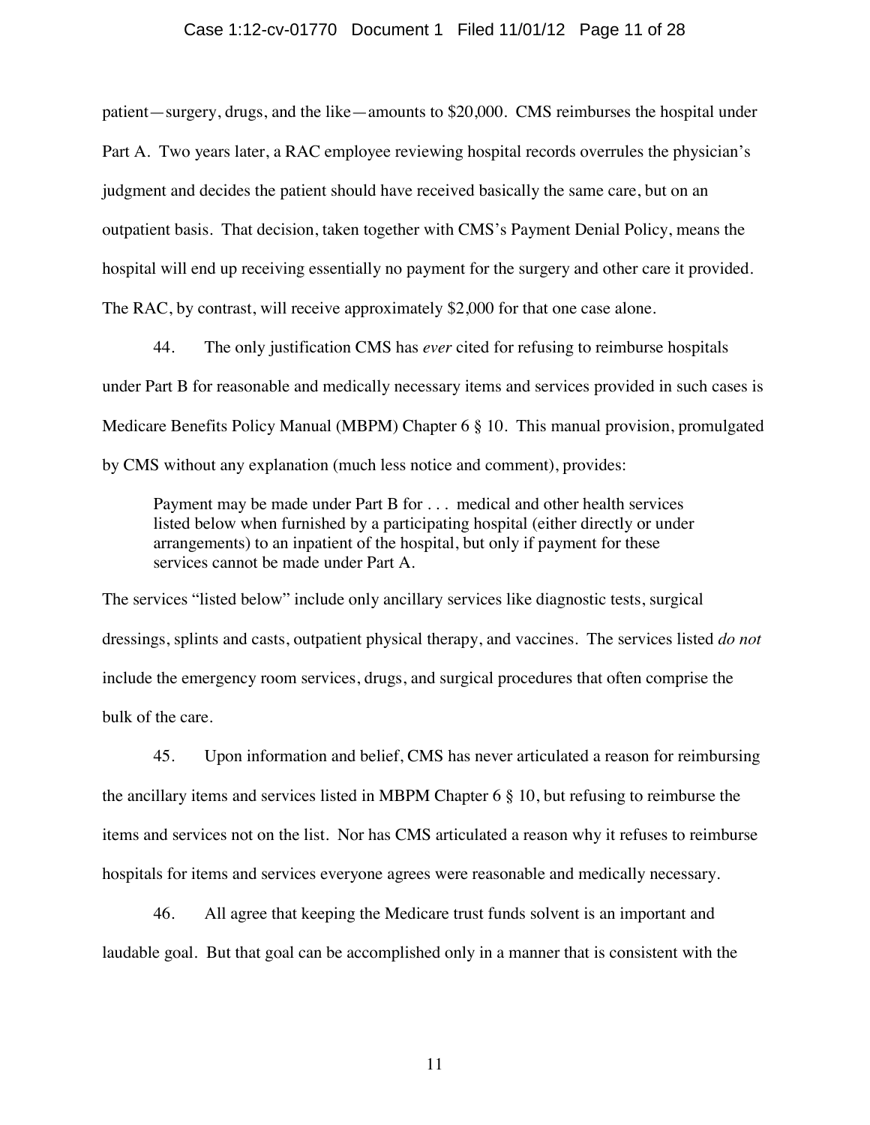## Case 1:12-cv-01770 Document 1 Filed 11/01/12 Page 11 of 28

patient—surgery, drugs, and the like—amounts to \$20,000. CMS reimburses the hospital under Part A. Two years later, a RAC employee reviewing hospital records overrules the physician's judgment and decides the patient should have received basically the same care, but on an outpatient basis. That decision, taken together with CMS's Payment Denial Policy, means the hospital will end up receiving essentially no payment for the surgery and other care it provided. The RAC, by contrast, will receive approximately \$2,000 for that one case alone.

44. The only justification CMS has *ever* cited for refusing to reimburse hospitals under Part B for reasonable and medically necessary items and services provided in such cases is Medicare Benefits Policy Manual (MBPM) Chapter 6 § 10. This manual provision, promulgated by CMS without any explanation (much less notice and comment), provides:

Payment may be made under Part B for . . . medical and other health services listed below when furnished by a participating hospital (either directly or under arrangements) to an inpatient of the hospital, but only if payment for these services cannot be made under Part A.

The services "listed below" include only ancillary services like diagnostic tests, surgical dressings, splints and casts, outpatient physical therapy, and vaccines. The services listed *do not* include the emergency room services, drugs, and surgical procedures that often comprise the bulk of the care.

45. Upon information and belief, CMS has never articulated a reason for reimbursing the ancillary items and services listed in MBPM Chapter 6 § 10, but refusing to reimburse the items and services not on the list. Nor has CMS articulated a reason why it refuses to reimburse hospitals for items and services everyone agrees were reasonable and medically necessary.

46. All agree that keeping the Medicare trust funds solvent is an important and laudable goal. But that goal can be accomplished only in a manner that is consistent with the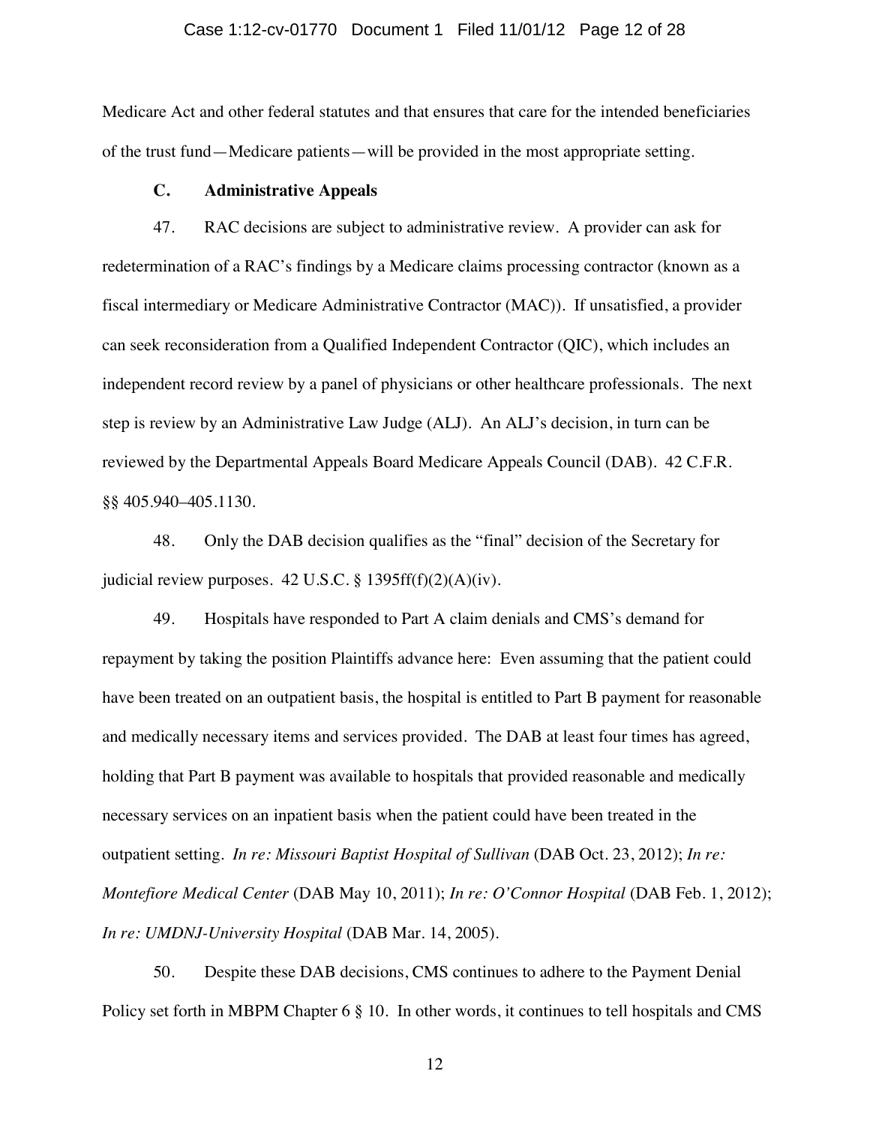### Case 1:12-cv-01770 Document 1 Filed 11/01/12 Page 12 of 28

Medicare Act and other federal statutes and that ensures that care for the intended beneficiaries of the trust fund—Medicare patients—will be provided in the most appropriate setting.

### **C. Administrative Appeals**

47. RAC decisions are subject to administrative review. A provider can ask for redetermination of a RAC's findings by a Medicare claims processing contractor (known as a fiscal intermediary or Medicare Administrative Contractor (MAC)). If unsatisfied, a provider can seek reconsideration from a Qualified Independent Contractor (QIC), which includes an independent record review by a panel of physicians or other healthcare professionals. The next step is review by an Administrative Law Judge (ALJ). An ALJ's decision, in turn can be reviewed by the Departmental Appeals Board Medicare Appeals Council (DAB). 42 C.F.R. §§ 405.940–405.1130.

48. Only the DAB decision qualifies as the "final" decision of the Secretary for judicial review purposes. 42 U.S.C. § 1395ff(f)(2)(A)(iv).

49. Hospitals have responded to Part A claim denials and CMS's demand for repayment by taking the position Plaintiffs advance here: Even assuming that the patient could have been treated on an outpatient basis, the hospital is entitled to Part B payment for reasonable and medically necessary items and services provided. The DAB at least four times has agreed, holding that Part B payment was available to hospitals that provided reasonable and medically necessary services on an inpatient basis when the patient could have been treated in the outpatient setting. *In re: Missouri Baptist Hospital of Sullivan* (DAB Oct. 23, 2012); *In re: Montefiore Medical Center* (DAB May 10, 2011); *In re: O'Connor Hospital* (DAB Feb. 1, 2012); *In re: UMDNJ-University Hospital* (DAB Mar. 14, 2005).

50. Despite these DAB decisions, CMS continues to adhere to the Payment Denial Policy set forth in MBPM Chapter 6 § 10. In other words, it continues to tell hospitals and CMS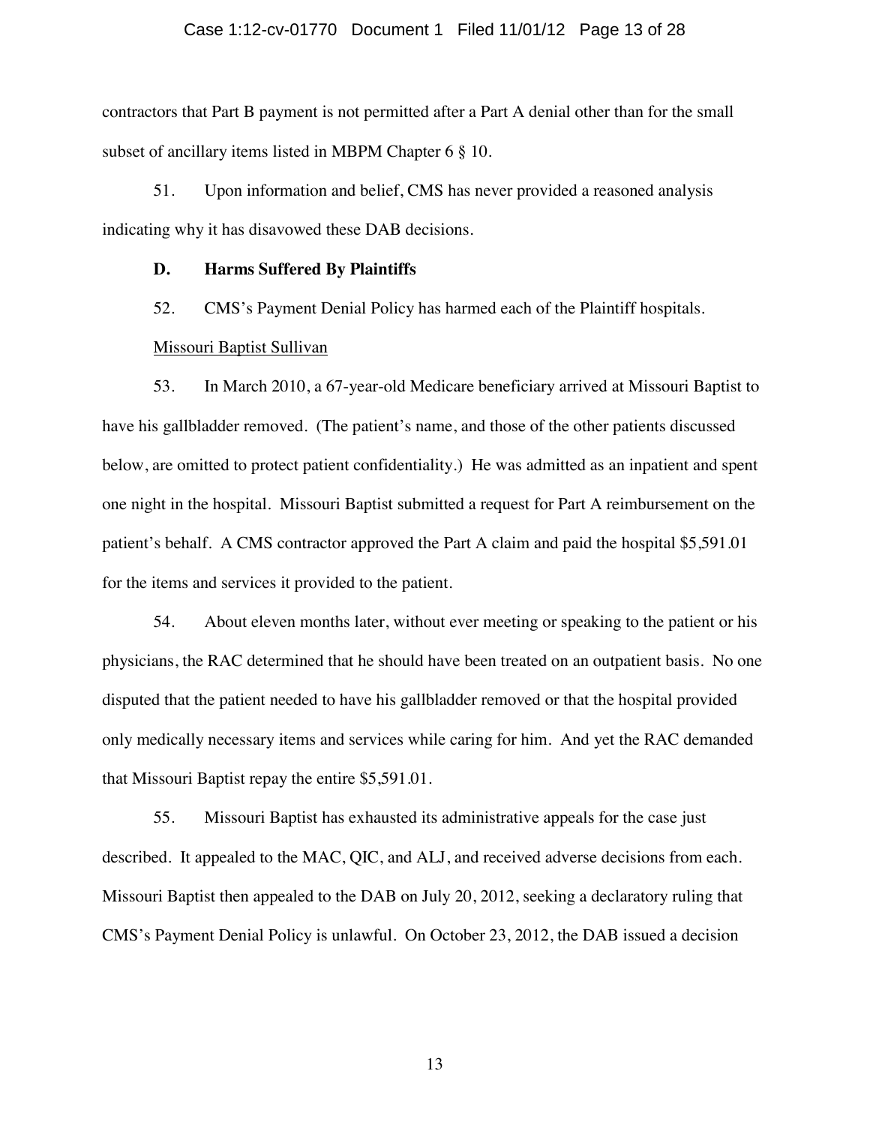### Case 1:12-cv-01770 Document 1 Filed 11/01/12 Page 13 of 28

contractors that Part B payment is not permitted after a Part A denial other than for the small subset of ancillary items listed in MBPM Chapter 6 § 10.

51. Upon information and belief, CMS has never provided a reasoned analysis indicating why it has disavowed these DAB decisions.

#### **D. Harms Suffered By Plaintiffs**

52. CMS's Payment Denial Policy has harmed each of the Plaintiff hospitals.

### Missouri Baptist Sullivan

53. In March 2010, a 67-year-old Medicare beneficiary arrived at Missouri Baptist to have his gallbladder removed. (The patient's name, and those of the other patients discussed below, are omitted to protect patient confidentiality.) He was admitted as an inpatient and spent one night in the hospital. Missouri Baptist submitted a request for Part A reimbursement on the patient's behalf. A CMS contractor approved the Part A claim and paid the hospital \$5,591.01 for the items and services it provided to the patient.

54. About eleven months later, without ever meeting or speaking to the patient or his physicians, the RAC determined that he should have been treated on an outpatient basis. No one disputed that the patient needed to have his gallbladder removed or that the hospital provided only medically necessary items and services while caring for him. And yet the RAC demanded that Missouri Baptist repay the entire \$5,591.01.

55. Missouri Baptist has exhausted its administrative appeals for the case just described. It appealed to the MAC, QIC, and ALJ, and received adverse decisions from each. Missouri Baptist then appealed to the DAB on July 20, 2012, seeking a declaratory ruling that CMS's Payment Denial Policy is unlawful. On October 23, 2012, the DAB issued a decision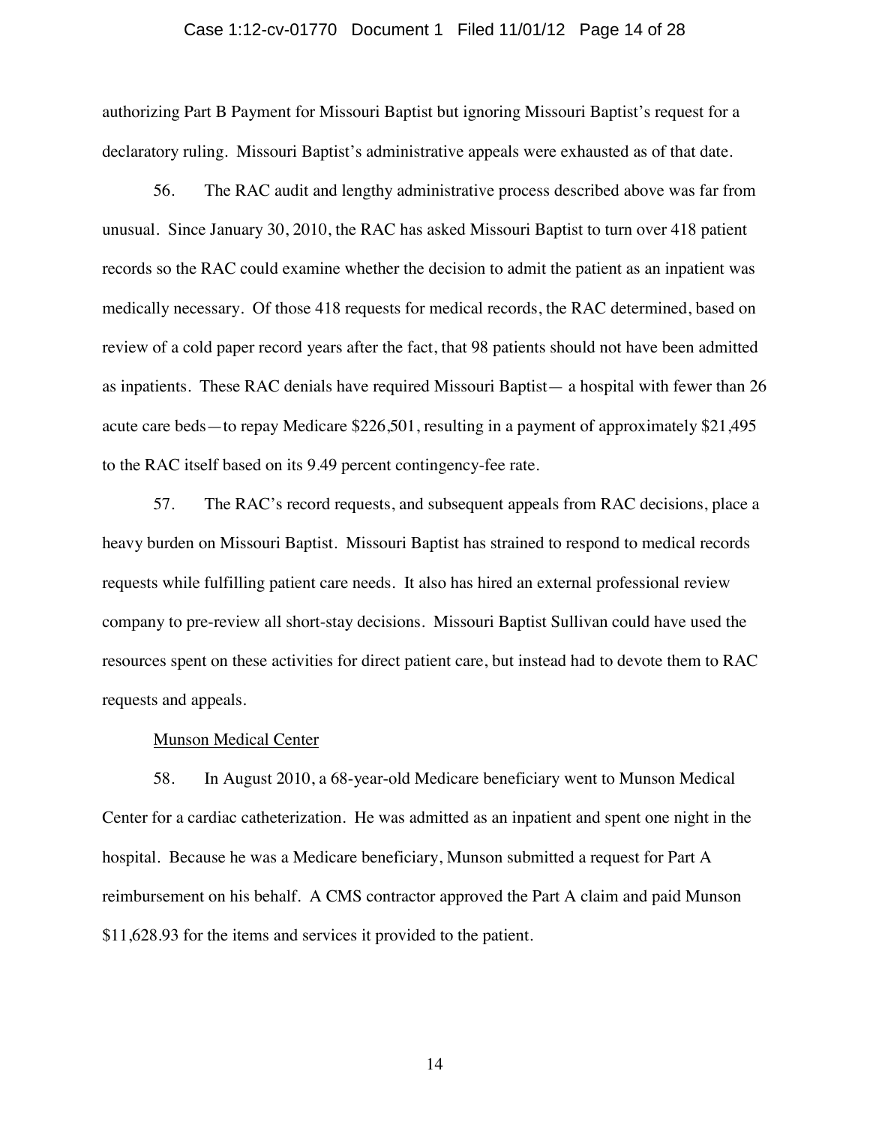### Case 1:12-cv-01770 Document 1 Filed 11/01/12 Page 14 of 28

authorizing Part B Payment for Missouri Baptist but ignoring Missouri Baptist's request for a declaratory ruling. Missouri Baptist's administrative appeals were exhausted as of that date.

56. The RAC audit and lengthy administrative process described above was far from unusual. Since January 30, 2010, the RAC has asked Missouri Baptist to turn over 418 patient records so the RAC could examine whether the decision to admit the patient as an inpatient was medically necessary. Of those 418 requests for medical records, the RAC determined, based on review of a cold paper record years after the fact, that 98 patients should not have been admitted as inpatients. These RAC denials have required Missouri Baptist— a hospital with fewer than 26 acute care beds—to repay Medicare \$226,501, resulting in a payment of approximately \$21,495 to the RAC itself based on its 9.49 percent contingency-fee rate.

57. The RAC's record requests, and subsequent appeals from RAC decisions, place a heavy burden on Missouri Baptist. Missouri Baptist has strained to respond to medical records requests while fulfilling patient care needs. It also has hired an external professional review company to pre-review all short-stay decisions. Missouri Baptist Sullivan could have used the resources spent on these activities for direct patient care, but instead had to devote them to RAC requests and appeals.

#### Munson Medical Center

58. In August 2010, a 68-year-old Medicare beneficiary went to Munson Medical Center for a cardiac catheterization. He was admitted as an inpatient and spent one night in the hospital. Because he was a Medicare beneficiary, Munson submitted a request for Part A reimbursement on his behalf. A CMS contractor approved the Part A claim and paid Munson \$11,628.93 for the items and services it provided to the patient.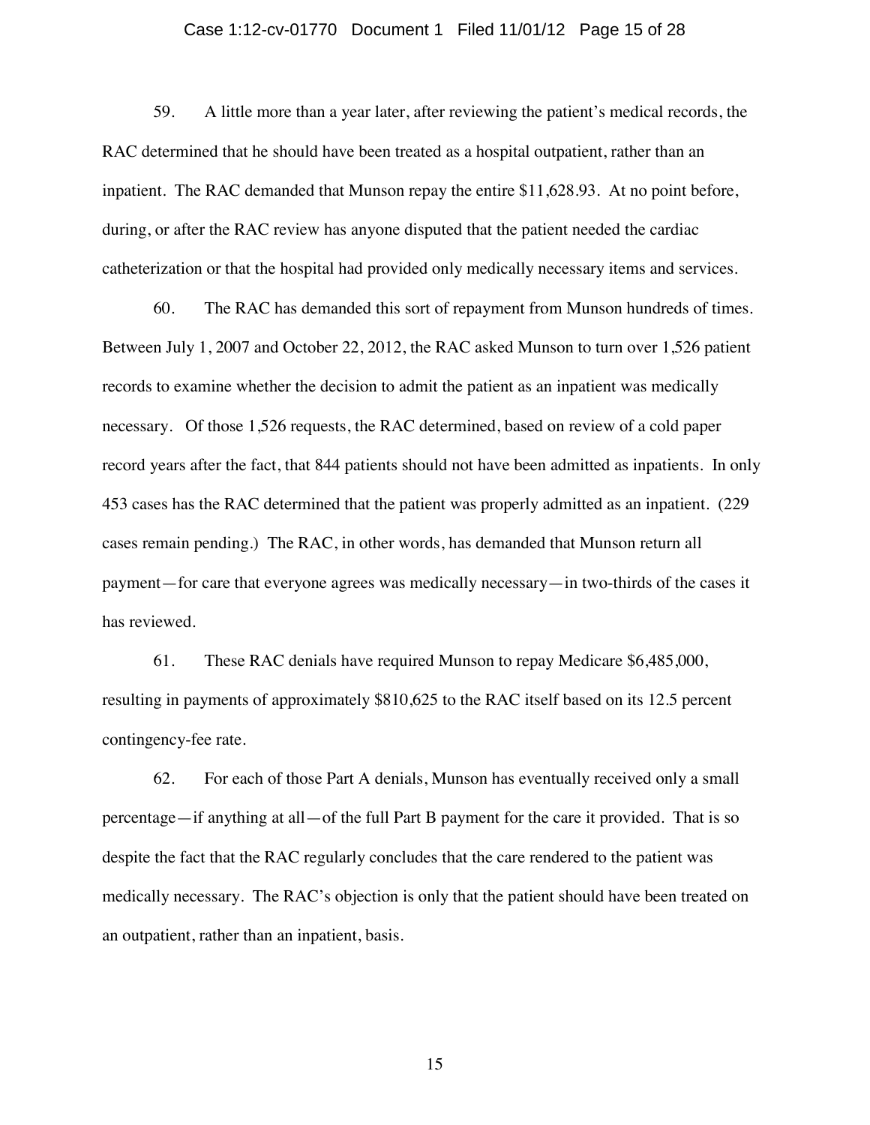### Case 1:12-cv-01770 Document 1 Filed 11/01/12 Page 15 of 28

59. A little more than a year later, after reviewing the patient's medical records, the RAC determined that he should have been treated as a hospital outpatient, rather than an inpatient. The RAC demanded that Munson repay the entire \$11,628.93. At no point before, during, or after the RAC review has anyone disputed that the patient needed the cardiac catheterization or that the hospital had provided only medically necessary items and services.

60. The RAC has demanded this sort of repayment from Munson hundreds of times. Between July 1, 2007 and October 22, 2012, the RAC asked Munson to turn over 1,526 patient records to examine whether the decision to admit the patient as an inpatient was medically necessary. Of those 1,526 requests, the RAC determined, based on review of a cold paper record years after the fact, that 844 patients should not have been admitted as inpatients. In only 453 cases has the RAC determined that the patient was properly admitted as an inpatient. (229 cases remain pending.) The RAC, in other words, has demanded that Munson return all payment—for care that everyone agrees was medically necessary—in two-thirds of the cases it has reviewed.

61. These RAC denials have required Munson to repay Medicare \$6,485,000, resulting in payments of approximately \$810,625 to the RAC itself based on its 12.5 percent contingency-fee rate.

62. For each of those Part A denials, Munson has eventually received only a small percentage—if anything at all—of the full Part B payment for the care it provided. That is so despite the fact that the RAC regularly concludes that the care rendered to the patient was medically necessary. The RAC's objection is only that the patient should have been treated on an outpatient, rather than an inpatient, basis.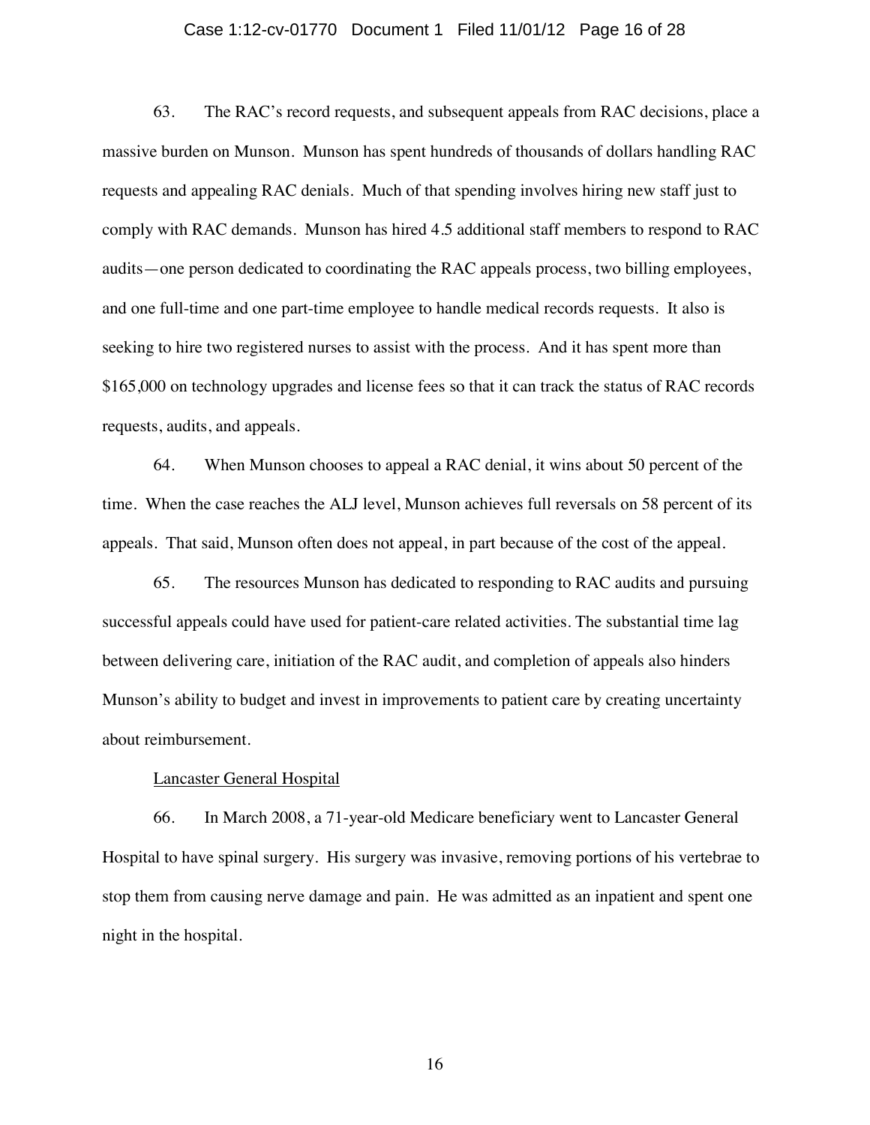### Case 1:12-cv-01770 Document 1 Filed 11/01/12 Page 16 of 28

63. The RAC's record requests, and subsequent appeals from RAC decisions, place a massive burden on Munson. Munson has spent hundreds of thousands of dollars handling RAC requests and appealing RAC denials. Much of that spending involves hiring new staff just to comply with RAC demands. Munson has hired 4.5 additional staff members to respond to RAC audits—one person dedicated to coordinating the RAC appeals process, two billing employees, and one full-time and one part-time employee to handle medical records requests. It also is seeking to hire two registered nurses to assist with the process. And it has spent more than \$165,000 on technology upgrades and license fees so that it can track the status of RAC records requests, audits, and appeals.

64. When Munson chooses to appeal a RAC denial, it wins about 50 percent of the time. When the case reaches the ALJ level, Munson achieves full reversals on 58 percent of its appeals. That said, Munson often does not appeal, in part because of the cost of the appeal.

65. The resources Munson has dedicated to responding to RAC audits and pursuing successful appeals could have used for patient-care related activities. The substantial time lag between delivering care, initiation of the RAC audit, and completion of appeals also hinders Munson's ability to budget and invest in improvements to patient care by creating uncertainty about reimbursement.

## Lancaster General Hospital

66. In March 2008, a 71-year-old Medicare beneficiary went to Lancaster General Hospital to have spinal surgery. His surgery was invasive, removing portions of his vertebrae to stop them from causing nerve damage and pain. He was admitted as an inpatient and spent one night in the hospital.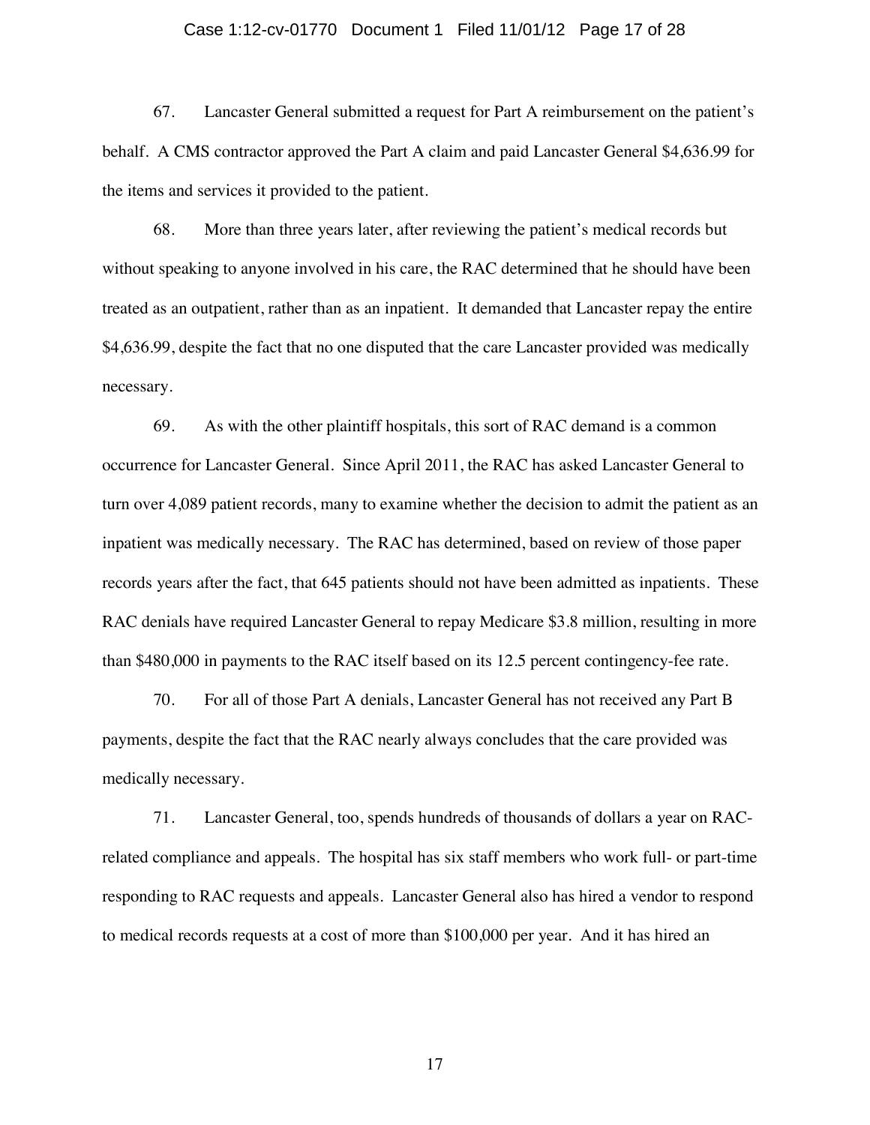### Case 1:12-cv-01770 Document 1 Filed 11/01/12 Page 17 of 28

67. Lancaster General submitted a request for Part A reimbursement on the patient's behalf. A CMS contractor approved the Part A claim and paid Lancaster General \$4,636.99 for the items and services it provided to the patient.

68. More than three years later, after reviewing the patient's medical records but without speaking to anyone involved in his care, the RAC determined that he should have been treated as an outpatient, rather than as an inpatient. It demanded that Lancaster repay the entire \$4,636.99, despite the fact that no one disputed that the care Lancaster provided was medically necessary.

69. As with the other plaintiff hospitals, this sort of RAC demand is a common occurrence for Lancaster General. Since April 2011, the RAC has asked Lancaster General to turn over 4,089 patient records, many to examine whether the decision to admit the patient as an inpatient was medically necessary. The RAC has determined, based on review of those paper records years after the fact, that 645 patients should not have been admitted as inpatients. These RAC denials have required Lancaster General to repay Medicare \$3.8 million, resulting in more than \$480,000 in payments to the RAC itself based on its 12.5 percent contingency-fee rate.

70. For all of those Part A denials, Lancaster General has not received any Part B payments, despite the fact that the RAC nearly always concludes that the care provided was medically necessary.

71. Lancaster General, too, spends hundreds of thousands of dollars a year on RACrelated compliance and appeals. The hospital has six staff members who work full- or part-time responding to RAC requests and appeals. Lancaster General also has hired a vendor to respond to medical records requests at a cost of more than \$100,000 per year. And it has hired an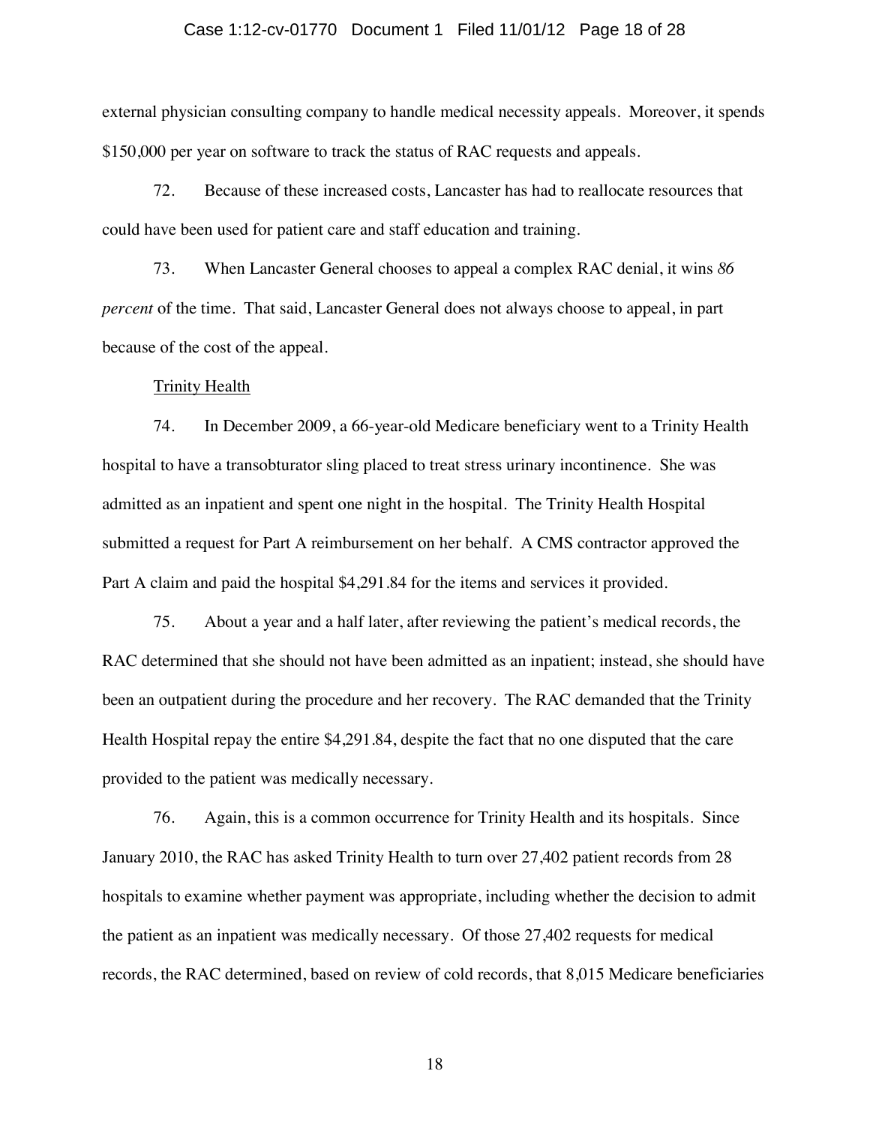### Case 1:12-cv-01770 Document 1 Filed 11/01/12 Page 18 of 28

external physician consulting company to handle medical necessity appeals. Moreover, it spends \$150,000 per year on software to track the status of RAC requests and appeals.

72. Because of these increased costs, Lancaster has had to reallocate resources that could have been used for patient care and staff education and training.

73. When Lancaster General chooses to appeal a complex RAC denial, it wins *86 percent* of the time. That said, Lancaster General does not always choose to appeal, in part because of the cost of the appeal.

### **Trinity Health**

74. In December 2009, a 66-year-old Medicare beneficiary went to a Trinity Health hospital to have a transobturator sling placed to treat stress urinary incontinence. She was admitted as an inpatient and spent one night in the hospital. The Trinity Health Hospital submitted a request for Part A reimbursement on her behalf. A CMS contractor approved the Part A claim and paid the hospital \$4,291.84 for the items and services it provided.

75. About a year and a half later, after reviewing the patient's medical records, the RAC determined that she should not have been admitted as an inpatient; instead, she should have been an outpatient during the procedure and her recovery. The RAC demanded that the Trinity Health Hospital repay the entire \$4,291.84, despite the fact that no one disputed that the care provided to the patient was medically necessary.

76. Again, this is a common occurrence for Trinity Health and its hospitals. Since January 2010, the RAC has asked Trinity Health to turn over 27,402 patient records from 28 hospitals to examine whether payment was appropriate, including whether the decision to admit the patient as an inpatient was medically necessary. Of those 27,402 requests for medical records, the RAC determined, based on review of cold records, that 8,015 Medicare beneficiaries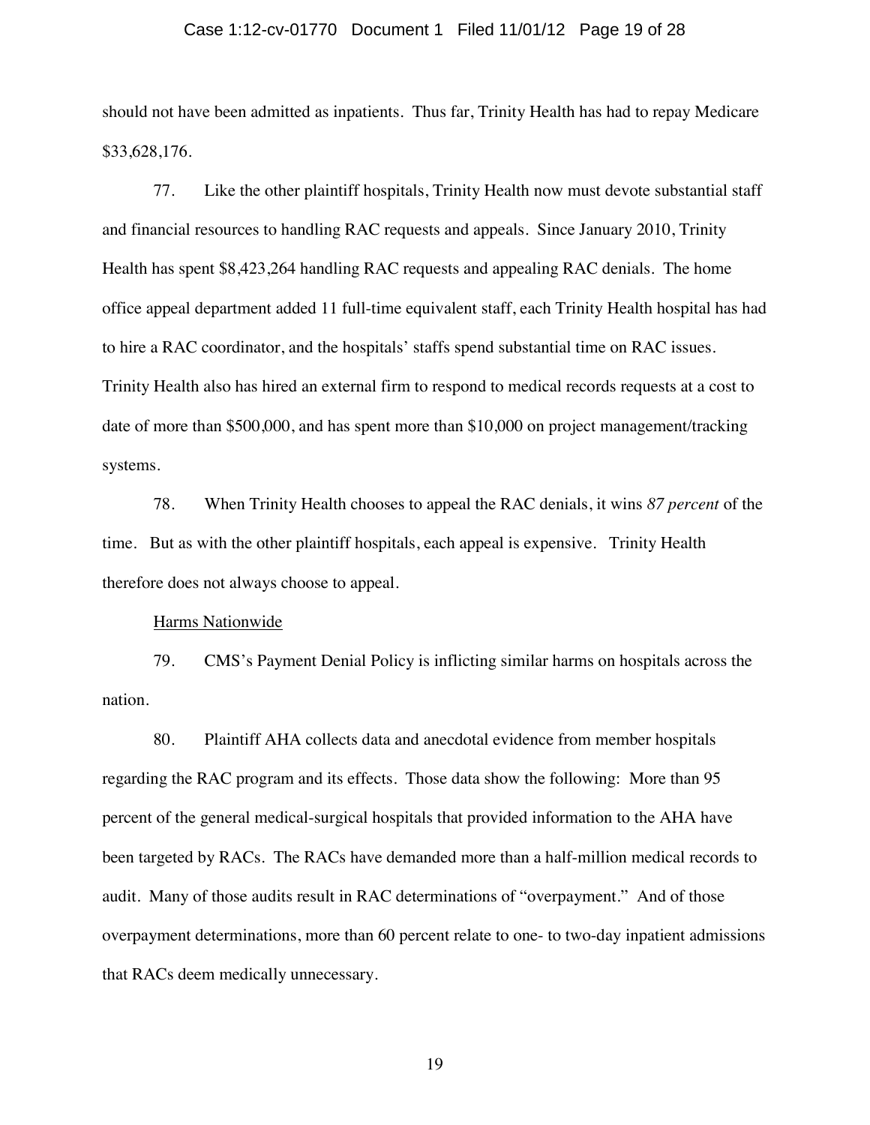### Case 1:12-cv-01770 Document 1 Filed 11/01/12 Page 19 of 28

should not have been admitted as inpatients. Thus far, Trinity Health has had to repay Medicare \$33,628,176.

77. Like the other plaintiff hospitals, Trinity Health now must devote substantial staff and financial resources to handling RAC requests and appeals. Since January 2010, Trinity Health has spent \$8,423,264 handling RAC requests and appealing RAC denials. The home office appeal department added 11 full-time equivalent staff, each Trinity Health hospital has had to hire a RAC coordinator, and the hospitals' staffs spend substantial time on RAC issues. Trinity Health also has hired an external firm to respond to medical records requests at a cost to date of more than \$500,000, and has spent more than \$10,000 on project management/tracking systems.

78. When Trinity Health chooses to appeal the RAC denials, it wins *87 percent* of the time. But as with the other plaintiff hospitals, each appeal is expensive. Trinity Health therefore does not always choose to appeal.

#### Harms Nationwide

79. CMS's Payment Denial Policy is inflicting similar harms on hospitals across the nation.

80. Plaintiff AHA collects data and anecdotal evidence from member hospitals regarding the RAC program and its effects. Those data show the following: More than 95 percent of the general medical-surgical hospitals that provided information to the AHA have been targeted by RACs. The RACs have demanded more than a half-million medical records to audit. Many of those audits result in RAC determinations of "overpayment." And of those overpayment determinations, more than 60 percent relate to one- to two-day inpatient admissions that RACs deem medically unnecessary.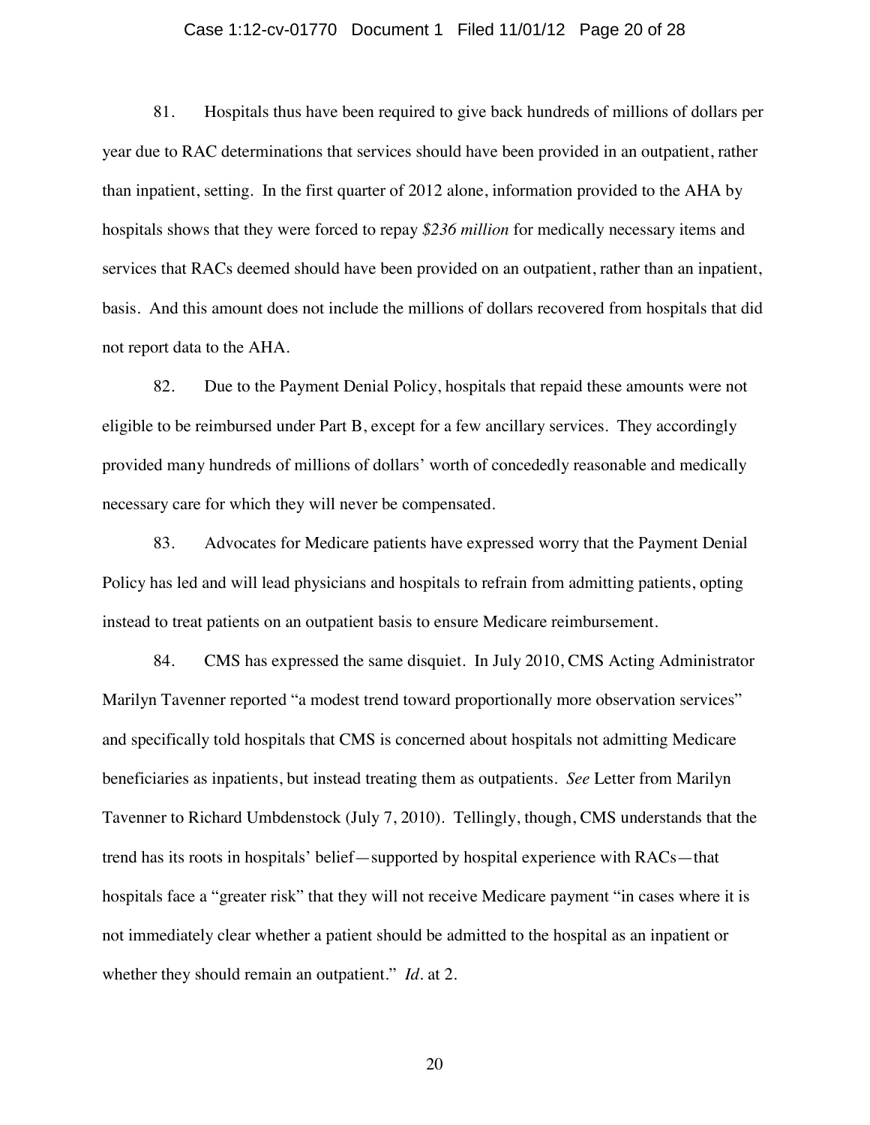### Case 1:12-cv-01770 Document 1 Filed 11/01/12 Page 20 of 28

81. Hospitals thus have been required to give back hundreds of millions of dollars per year due to RAC determinations that services should have been provided in an outpatient, rather than inpatient, setting. In the first quarter of 2012 alone, information provided to the AHA by hospitals shows that they were forced to repay *\$236 million* for medically necessary items and services that RACs deemed should have been provided on an outpatient, rather than an inpatient, basis. And this amount does not include the millions of dollars recovered from hospitals that did not report data to the AHA.

82. Due to the Payment Denial Policy, hospitals that repaid these amounts were not eligible to be reimbursed under Part B, except for a few ancillary services. They accordingly provided many hundreds of millions of dollars' worth of concededly reasonable and medically necessary care for which they will never be compensated.

83. Advocates for Medicare patients have expressed worry that the Payment Denial Policy has led and will lead physicians and hospitals to refrain from admitting patients, opting instead to treat patients on an outpatient basis to ensure Medicare reimbursement.

84. CMS has expressed the same disquiet. In July 2010, CMS Acting Administrator Marilyn Tavenner reported "a modest trend toward proportionally more observation services" and specifically told hospitals that CMS is concerned about hospitals not admitting Medicare beneficiaries as inpatients, but instead treating them as outpatients. *See* Letter from Marilyn Tavenner to Richard Umbdenstock (July 7, 2010). Tellingly, though, CMS understands that the trend has its roots in hospitals' belief—supported by hospital experience with RACs—that hospitals face a "greater risk" that they will not receive Medicare payment "in cases where it is not immediately clear whether a patient should be admitted to the hospital as an inpatient or whether they should remain an outpatient." *Id.* at 2.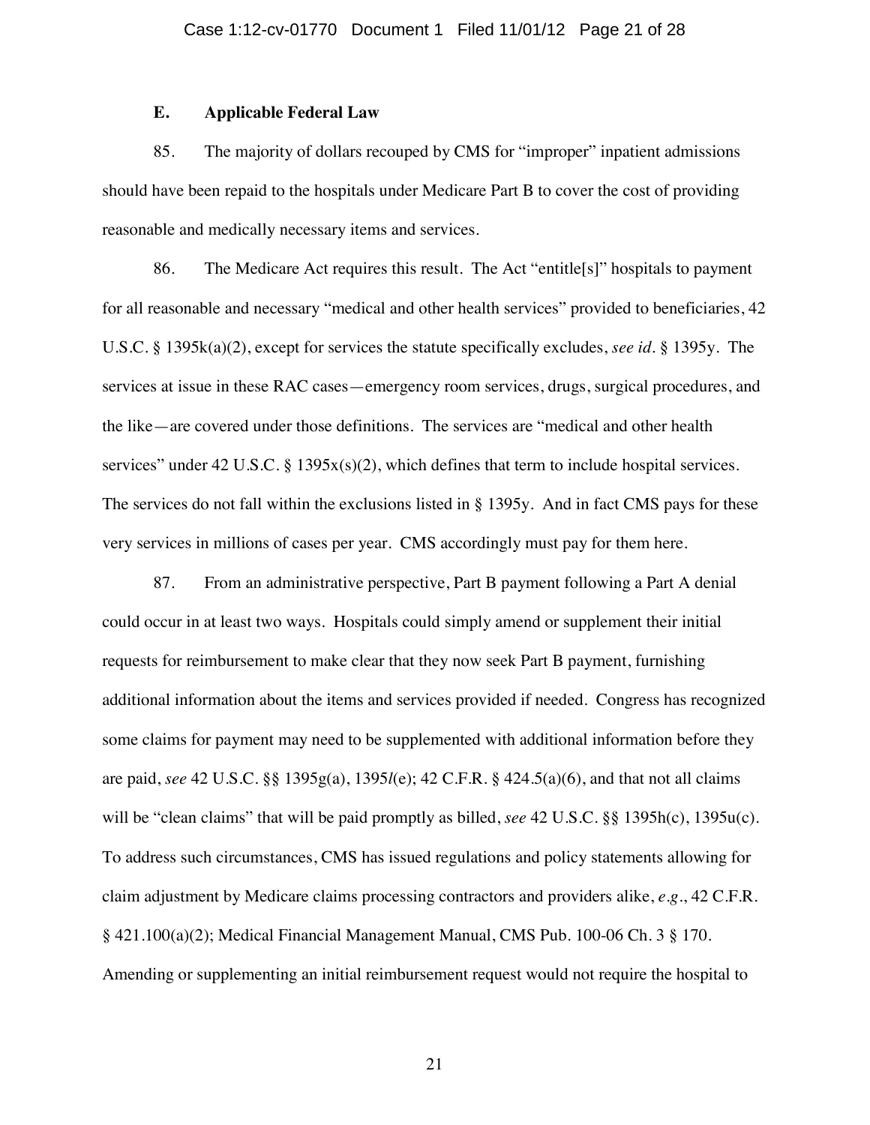## **E. Applicable Federal Law**

85. The majority of dollars recouped by CMS for "improper" inpatient admissions should have been repaid to the hospitals under Medicare Part B to cover the cost of providing reasonable and medically necessary items and services.

86. The Medicare Act requires this result. The Act "entitle[s]" hospitals to payment for all reasonable and necessary "medical and other health services" provided to beneficiaries, 42 U.S.C. § 1395k(a)(2), except for services the statute specifically excludes, *see id.* § 1395y. The services at issue in these RAC cases—emergency room services, drugs, surgical procedures, and the like—are covered under those definitions. The services are "medical and other health services" under 42 U.S.C. § 1395 $x(s)(2)$ , which defines that term to include hospital services. The services do not fall within the exclusions listed in § 1395y. And in fact CMS pays for these very services in millions of cases per year. CMS accordingly must pay for them here.

87. From an administrative perspective, Part B payment following a Part A denial could occur in at least two ways. Hospitals could simply amend or supplement their initial requests for reimbursement to make clear that they now seek Part B payment, furnishing additional information about the items and services provided if needed. Congress has recognized some claims for payment may need to be supplemented with additional information before they are paid, *see* 42 U.S.C. §§ 1395g(a), 1395*l*(e); 42 C.F.R. § 424.5(a)(6), and that not all claims will be "clean claims" that will be paid promptly as billed, *see* 42 U.S.C. §§ 1395h(c), 1395u(c). To address such circumstances, CMS has issued regulations and policy statements allowing for claim adjustment by Medicare claims processing contractors and providers alike, *e.g.*, 42 C.F.R. § 421.100(a)(2); Medical Financial Management Manual, CMS Pub. 100-06 Ch. 3 § 170. Amending or supplementing an initial reimbursement request would not require the hospital to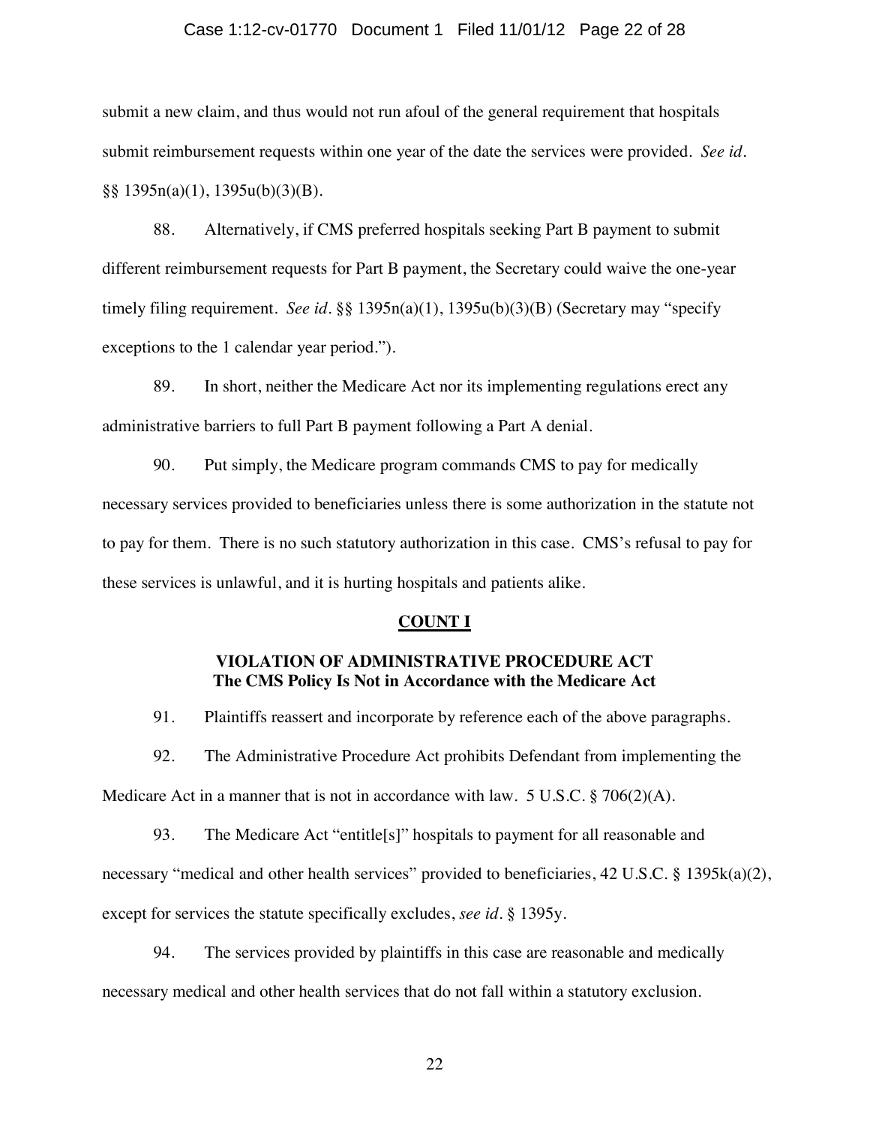### Case 1:12-cv-01770 Document 1 Filed 11/01/12 Page 22 of 28

submit a new claim, and thus would not run afoul of the general requirement that hospitals submit reimbursement requests within one year of the date the services were provided. *See id.* §§ 1395n(a)(1), 1395u(b)(3)(B).

88. Alternatively, if CMS preferred hospitals seeking Part B payment to submit different reimbursement requests for Part B payment, the Secretary could waive the one-year timely filing requirement. *See id.*  $\S$  1395n(a)(1), 1395u(b)(3)(B) (Secretary may "specify exceptions to the 1 calendar year period.").

89. In short, neither the Medicare Act nor its implementing regulations erect any administrative barriers to full Part B payment following a Part A denial.

90. Put simply, the Medicare program commands CMS to pay for medically necessary services provided to beneficiaries unless there is some authorization in the statute not to pay for them. There is no such statutory authorization in this case. CMS's refusal to pay for these services is unlawful, and it is hurting hospitals and patients alike.

#### **COUNT I**

## **VIOLATION OF ADMINISTRATIVE PROCEDURE ACT The CMS Policy Is Not in Accordance with the Medicare Act**

91. Plaintiffs reassert and incorporate by reference each of the above paragraphs.

92. The Administrative Procedure Act prohibits Defendant from implementing the Medicare Act in a manner that is not in accordance with law. 5 U.S.C. § 706(2)(A).

93. The Medicare Act "entitle[s]" hospitals to payment for all reasonable and necessary "medical and other health services" provided to beneficiaries, 42 U.S.C. § 1395k(a)(2), except for services the statute specifically excludes, *see id.* § 1395y.

94. The services provided by plaintiffs in this case are reasonable and medically necessary medical and other health services that do not fall within a statutory exclusion.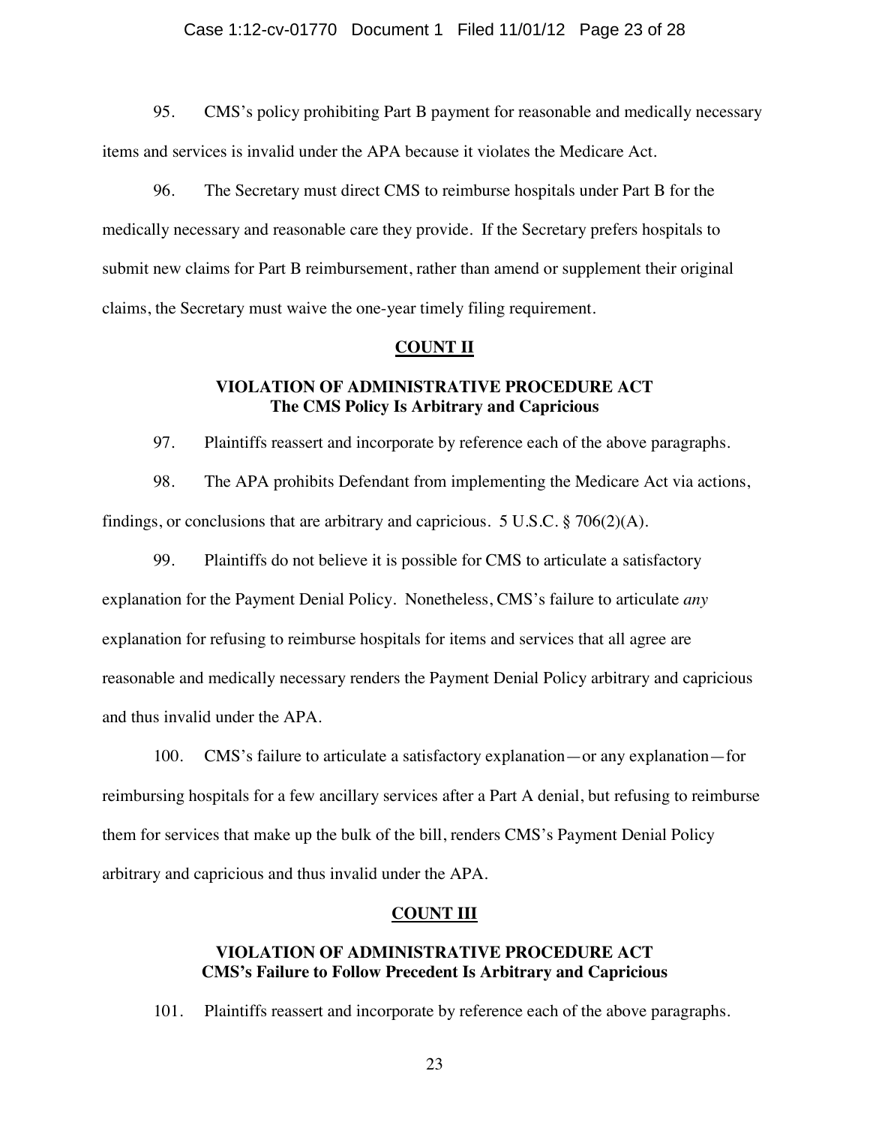### Case 1:12-cv-01770 Document 1 Filed 11/01/12 Page 23 of 28

95. CMS's policy prohibiting Part B payment for reasonable and medically necessary items and services is invalid under the APA because it violates the Medicare Act.

96. The Secretary must direct CMS to reimburse hospitals under Part B for the medically necessary and reasonable care they provide. If the Secretary prefers hospitals to submit new claims for Part B reimbursement, rather than amend or supplement their original claims, the Secretary must waive the one-year timely filing requirement.

### **COUNT II**

## **VIOLATION OF ADMINISTRATIVE PROCEDURE ACT The CMS Policy Is Arbitrary and Capricious**

97. Plaintiffs reassert and incorporate by reference each of the above paragraphs.

98. The APA prohibits Defendant from implementing the Medicare Act via actions, findings, or conclusions that are arbitrary and capricious. 5 U.S.C.  $\S$  706(2)(A).

99. Plaintiffs do not believe it is possible for CMS to articulate a satisfactory explanation for the Payment Denial Policy. Nonetheless, CMS's failure to articulate *any* explanation for refusing to reimburse hospitals for items and services that all agree are reasonable and medically necessary renders the Payment Denial Policy arbitrary and capricious and thus invalid under the APA.

100. CMS's failure to articulate a satisfactory explanation—or any explanation—for reimbursing hospitals for a few ancillary services after a Part A denial, but refusing to reimburse them for services that make up the bulk of the bill, renders CMS's Payment Denial Policy arbitrary and capricious and thus invalid under the APA.

### **COUNT III**

## **VIOLATION OF ADMINISTRATIVE PROCEDURE ACT CMS's Failure to Follow Precedent Is Arbitrary and Capricious**

101. Plaintiffs reassert and incorporate by reference each of the above paragraphs.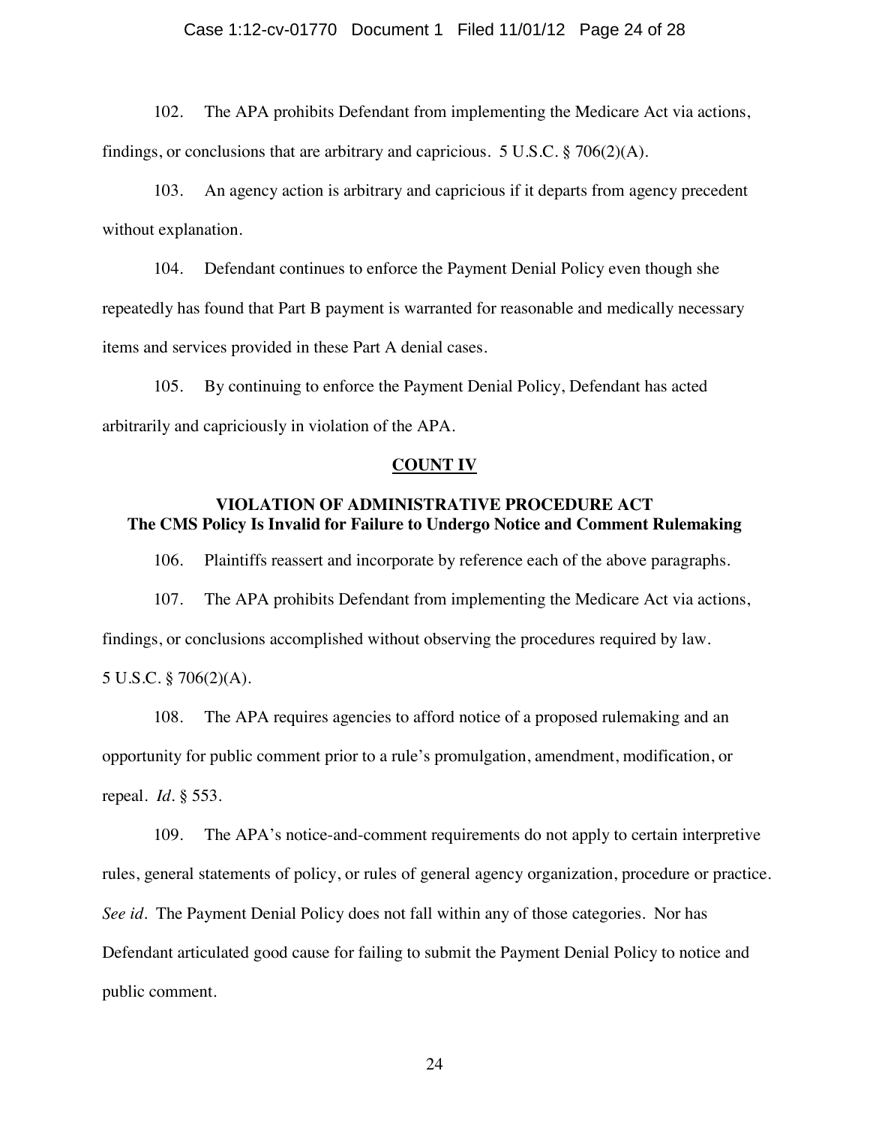### Case 1:12-cv-01770 Document 1 Filed 11/01/12 Page 24 of 28

102. The APA prohibits Defendant from implementing the Medicare Act via actions, findings, or conclusions that are arbitrary and capricious.  $5 \text{ U.S.C.}$   $\S$  706(2)(A).

103. An agency action is arbitrary and capricious if it departs from agency precedent without explanation.

104. Defendant continues to enforce the Payment Denial Policy even though she repeatedly has found that Part B payment is warranted for reasonable and medically necessary items and services provided in these Part A denial cases.

105. By continuing to enforce the Payment Denial Policy, Defendant has acted arbitrarily and capriciously in violation of the APA.

#### **COUNT IV**

# **VIOLATION OF ADMINISTRATIVE PROCEDURE ACT The CMS Policy Is Invalid for Failure to Undergo Notice and Comment Rulemaking**

106. Plaintiffs reassert and incorporate by reference each of the above paragraphs.

107. The APA prohibits Defendant from implementing the Medicare Act via actions,

findings, or conclusions accomplished without observing the procedures required by law.

5 U.S.C. § 706(2)(A).

108. The APA requires agencies to afford notice of a proposed rulemaking and an opportunity for public comment prior to a rule's promulgation, amendment, modification, or repeal. *Id.* § 553.

109. The APA's notice-and-comment requirements do not apply to certain interpretive rules, general statements of policy, or rules of general agency organization, procedure or practice. *See id.* The Payment Denial Policy does not fall within any of those categories. Nor has Defendant articulated good cause for failing to submit the Payment Denial Policy to notice and public comment.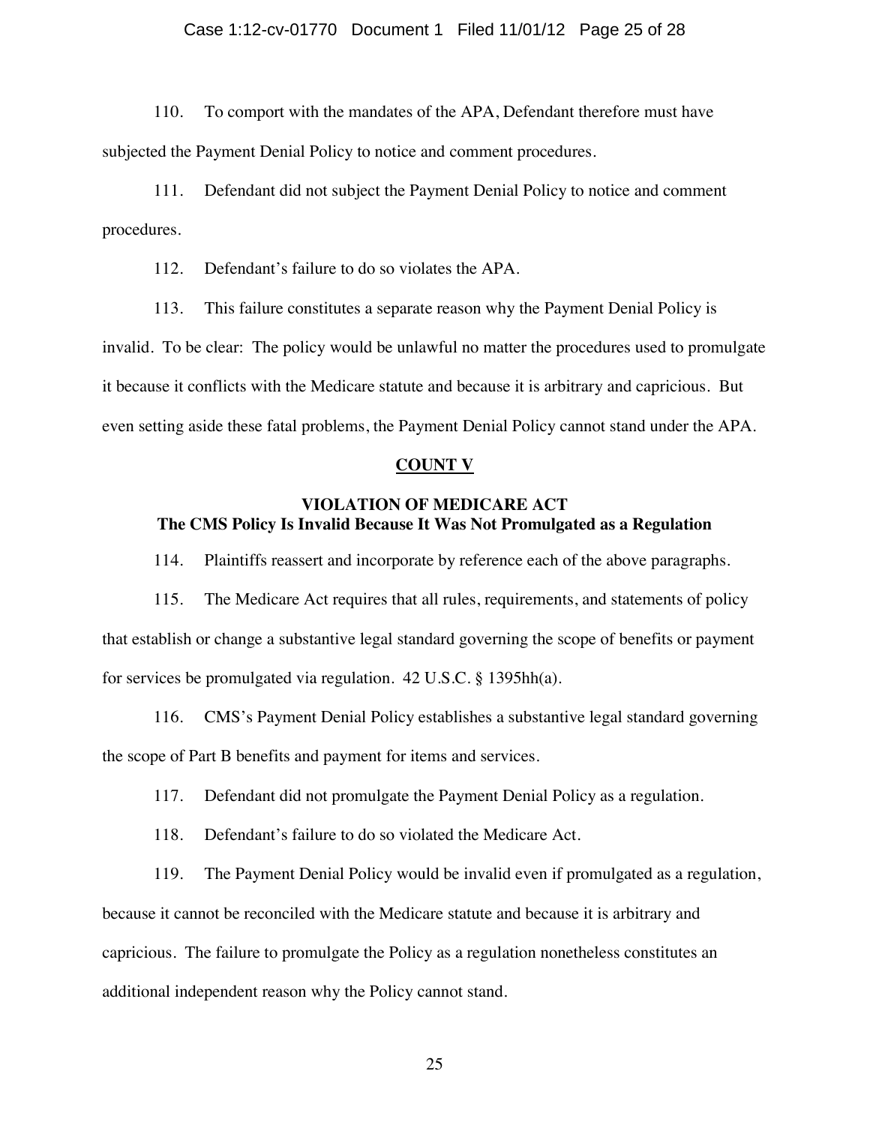### Case 1:12-cv-01770 Document 1 Filed 11/01/12 Page 25 of 28

110. To comport with the mandates of the APA, Defendant therefore must have subjected the Payment Denial Policy to notice and comment procedures.

111. Defendant did not subject the Payment Denial Policy to notice and comment procedures.

112. Defendant's failure to do so violates the APA.

113. This failure constitutes a separate reason why the Payment Denial Policy is invalid. To be clear: The policy would be unlawful no matter the procedures used to promulgate it because it conflicts with the Medicare statute and because it is arbitrary and capricious. But even setting aside these fatal problems, the Payment Denial Policy cannot stand under the APA.

#### **COUNT V**

# **VIOLATION OF MEDICARE ACT The CMS Policy Is Invalid Because It Was Not Promulgated as a Regulation**

114. Plaintiffs reassert and incorporate by reference each of the above paragraphs.

115. The Medicare Act requires that all rules, requirements, and statements of policy that establish or change a substantive legal standard governing the scope of benefits or payment for services be promulgated via regulation. 42 U.S.C. § 1395hh(a).

116. CMS's Payment Denial Policy establishes a substantive legal standard governing the scope of Part B benefits and payment for items and services.

117. Defendant did not promulgate the Payment Denial Policy as a regulation.

118. Defendant's failure to do so violated the Medicare Act.

119. The Payment Denial Policy would be invalid even if promulgated as a regulation,

because it cannot be reconciled with the Medicare statute and because it is arbitrary and capricious. The failure to promulgate the Policy as a regulation nonetheless constitutes an additional independent reason why the Policy cannot stand.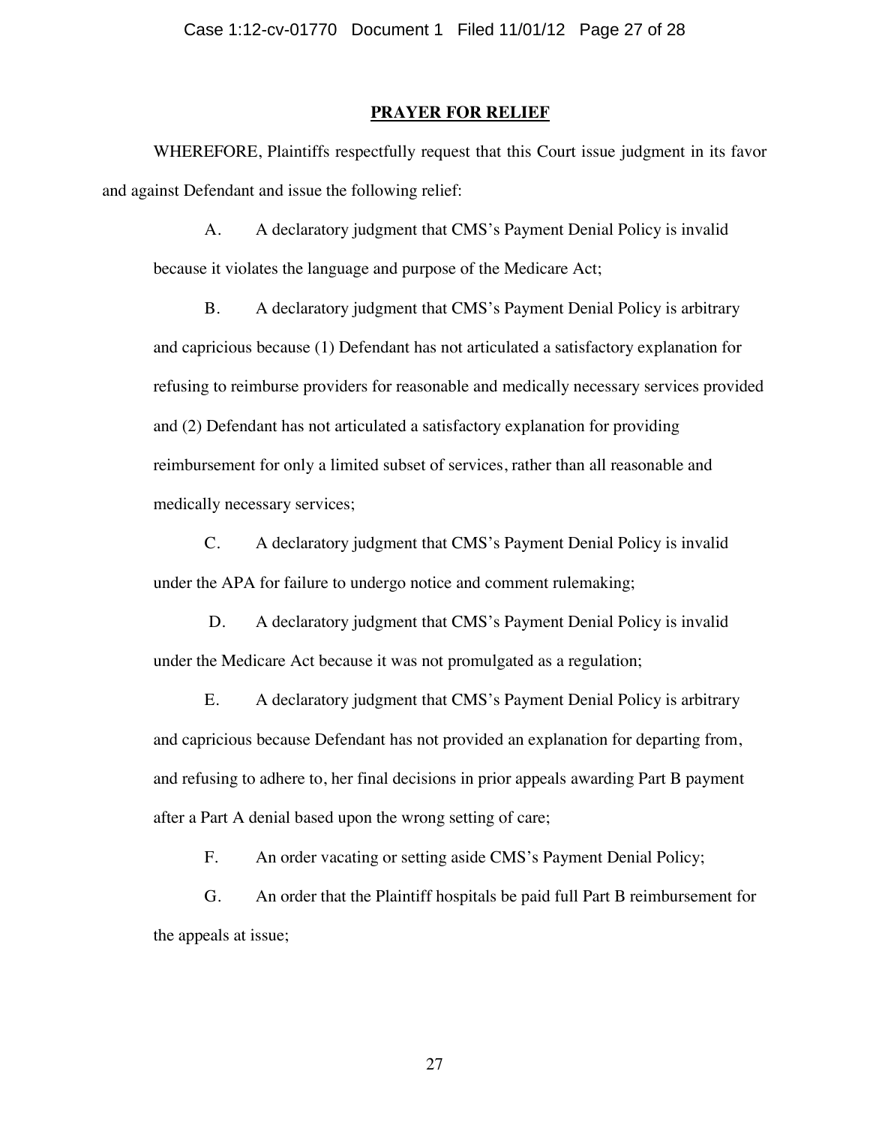### **PRAYER FOR RELIEF**

WHEREFORE, Plaintiffs respectfully request that this Court issue judgment in its favor and against Defendant and issue the following relief:

A. A declaratory judgment that CMS's Payment Denial Policy is invalid because it violates the language and purpose of the Medicare Act;

B. A declaratory judgment that CMS's Payment Denial Policy is arbitrary and capricious because (1) Defendant has not articulated a satisfactory explanation for refusing to reimburse providers for reasonable and medically necessary services provided and (2) Defendant has not articulated a satisfactory explanation for providing reimbursement for only a limited subset of services, rather than all reasonable and medically necessary services;

C. A declaratory judgment that CMS's Payment Denial Policy is invalid under the APA for failure to undergo notice and comment rulemaking;

D. A declaratory judgment that CMS's Payment Denial Policy is invalid under the Medicare Act because it was not promulgated as a regulation;

E. A declaratory judgment that CMS's Payment Denial Policy is arbitrary and capricious because Defendant has not provided an explanation for departing from, and refusing to adhere to, her final decisions in prior appeals awarding Part B payment after a Part A denial based upon the wrong setting of care;

F. An order vacating or setting aside CMS's Payment Denial Policy;

G. An order that the Plaintiff hospitals be paid full Part B reimbursement for the appeals at issue;